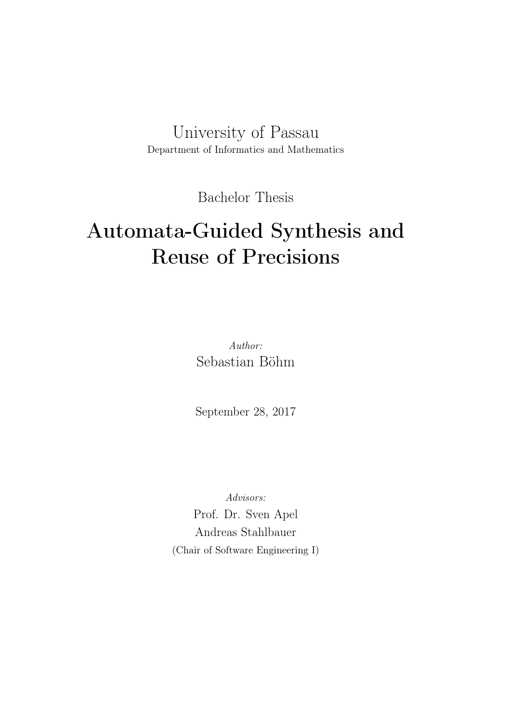University of Passau Department of Informatics and Mathematics

Bachelor Thesis

# Automata-Guided Synthesis and Reuse of Precisions

Author: Sebastian Böhm

September 28, 2017

Advisors:

Prof. Dr. Sven Apel Andreas Stahlbauer (Chair of Software Engineering I)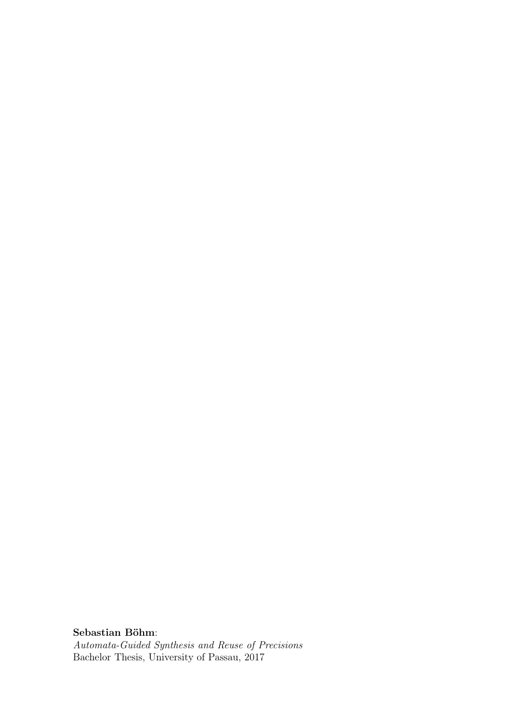Sebastian Böhm: Automata-Guided Synthesis and Reuse of Precisions Bachelor Thesis, University of Passau, 2017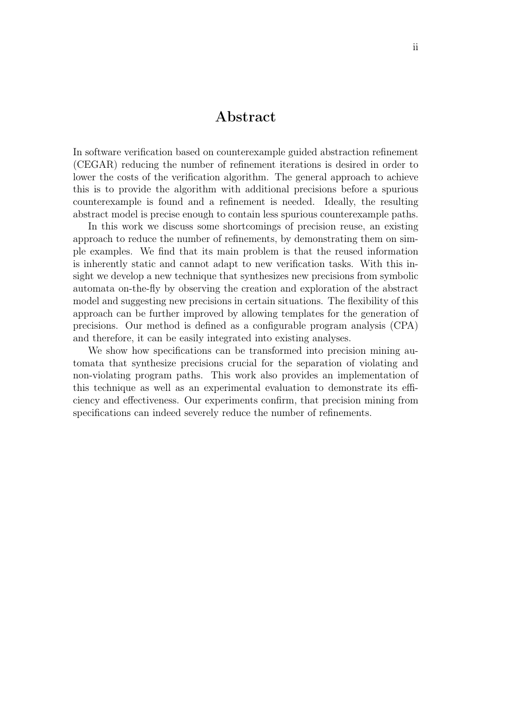#### Abstract

In software verification based on counterexample guided abstraction refinement (CEGAR) reducing the number of refinement iterations is desired in order to lower the costs of the verification algorithm. The general approach to achieve this is to provide the algorithm with additional precisions before a spurious counterexample is found and a refinement is needed. Ideally, the resulting abstract model is precise enough to contain less spurious counterexample paths.

In this work we discuss some shortcomings of precision reuse, an existing approach to reduce the number of refinements, by demonstrating them on simple examples. We find that its main problem is that the reused information is inherently static and cannot adapt to new verification tasks. With this insight we develop a new technique that synthesizes new precisions from symbolic automata on-the-fly by observing the creation and exploration of the abstract model and suggesting new precisions in certain situations. The flexibility of this approach can be further improved by allowing templates for the generation of precisions. Our method is defined as a configurable program analysis (CPA) and therefore, it can be easily integrated into existing analyses.

We show how specifications can be transformed into precision mining automata that synthesize precisions crucial for the separation of violating and non-violating program paths. This work also provides an implementation of this technique as well as an experimental evaluation to demonstrate its efficiency and effectiveness. Our experiments confirm, that precision mining from specifications can indeed severely reduce the number of refinements.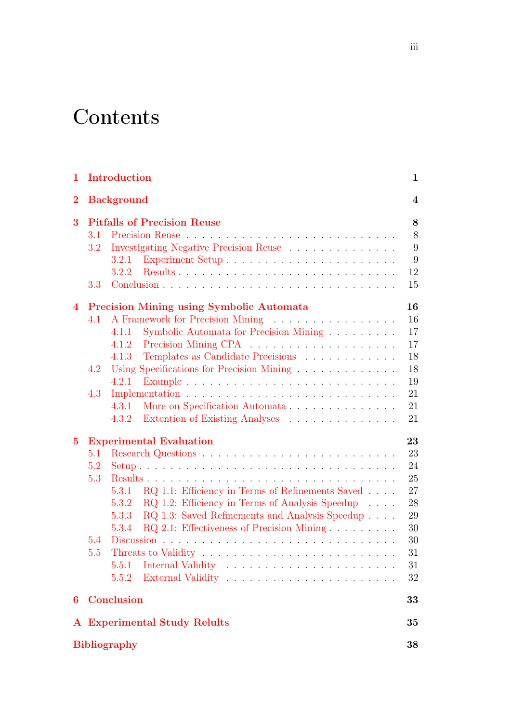# **Contents**

| 1        |     | Introduction                                                                             | $\mathbf{1}$            |
|----------|-----|------------------------------------------------------------------------------------------|-------------------------|
| $\bf{2}$ |     | <b>Background</b>                                                                        | $\overline{\mathbf{4}}$ |
| 3        |     | <b>Pitfalls of Precision Reuse</b>                                                       | 8                       |
|          | 3.1 |                                                                                          | 8                       |
|          | 3.2 | Investigating Negative Precision Reuse                                                   | 9                       |
|          |     | 3.2.1                                                                                    | 9                       |
|          |     | 3.2.2                                                                                    | 12                      |
|          | 3.3 |                                                                                          | 15                      |
| 4        |     | <b>Precision Mining using Symbolic Automata</b>                                          | 16                      |
|          | 4.1 | A Framework for Precision Mining                                                         | 16                      |
|          |     | Symbolic Automata for Precision Mining<br>4.1.1                                          | 17                      |
|          |     | 4.1.2                                                                                    | 17                      |
|          |     | Templates as Candidate Precisions<br>4.1.3                                               | 18                      |
|          | 4.2 | Using Specifications for Precision Mining                                                | 18                      |
|          |     | Example $\ldots \ldots \ldots \ldots \ldots \ldots \ldots \ldots \ldots \ldots$<br>4.2.1 | 19                      |
|          | 4.3 |                                                                                          | 21                      |
|          |     | More on Specification Automata<br>4.3.1                                                  | 21                      |
|          |     | Extention of Existing Analyses<br>4.3.2                                                  | 21                      |
| $\bf{5}$ |     | <b>Experimental Evaluation</b>                                                           | 23                      |
|          | 5.1 |                                                                                          | 23                      |
|          | 5.2 |                                                                                          | 24                      |
|          | 5.3 |                                                                                          | 25                      |
|          |     | 5.3.1 RQ 1.1: Efficiency in Terms of Refinements Saved                                   | 27                      |
|          |     | RQ 1.2: Efficiency in Terms of Analysis Speedup<br>5.3.2                                 | 28                      |
|          |     | RQ 1.3: Saved Refinements and Analysis Speedup<br>5.3.3                                  | 29                      |
|          |     | RQ 2.1: Effectiveness of Precision Mining<br>5.3.4                                       | 30                      |
|          | 5.4 |                                                                                          | 30                      |
|          | 5.5 |                                                                                          | 31                      |
|          |     | 5.5.1                                                                                    | 31                      |
|          |     | 5.5.2                                                                                    | 32                      |
| 6        |     | <b>Conclusion</b>                                                                        | 33                      |
|          |     | <b>A</b> Experimental Study Relults                                                      | 35                      |
|          |     | <b>Bibliography</b>                                                                      | 38                      |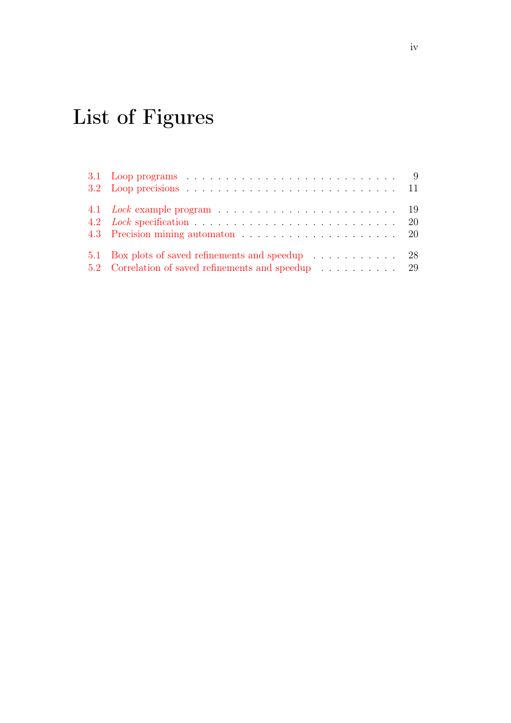# List of Figures

| 3.2 Loop precisions $\ldots \ldots \ldots \ldots \ldots \ldots \ldots \ldots \ldots \ldots \ldots 11$ |  |
|-------------------------------------------------------------------------------------------------------|--|
|                                                                                                       |  |
|                                                                                                       |  |
|                                                                                                       |  |
| 5.1 Box plots of saved refinements and speedup 28                                                     |  |
| 5.2 Correlation of saved refinements and speedup 29                                                   |  |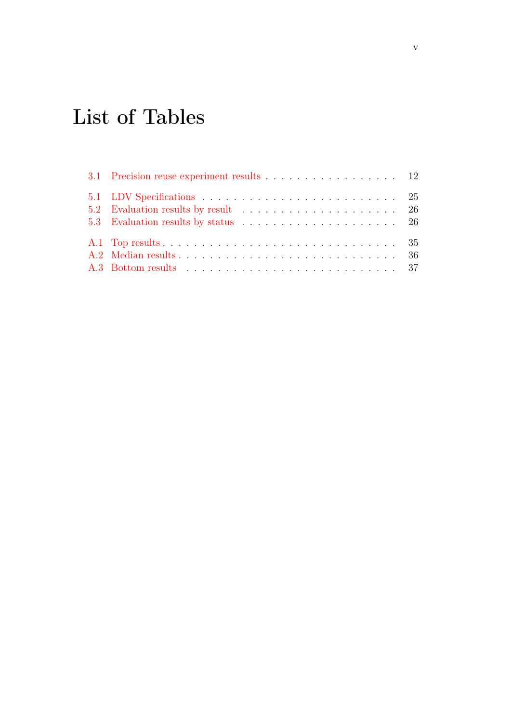# List of Tables

| 3.1 Precision reuse experiment results 12 |
|-------------------------------------------|
|                                           |
|                                           |
|                                           |
|                                           |
|                                           |
|                                           |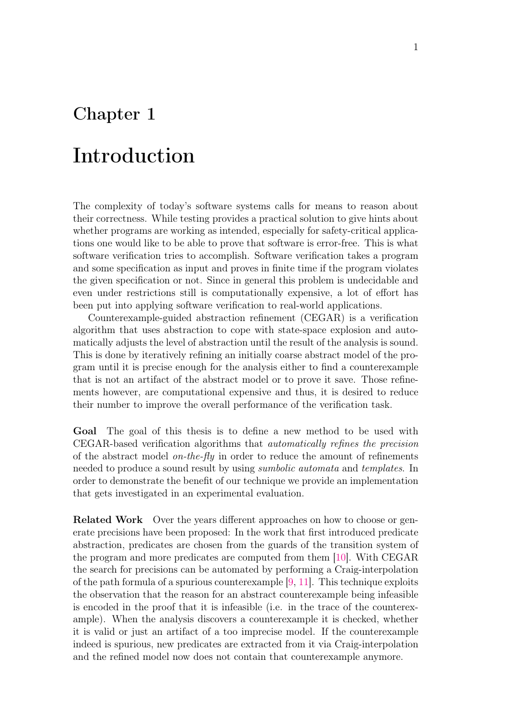## <span id="page-6-0"></span>Chapter 1

# Introduction

The complexity of today's software systems calls for means to reason about their correctness. While testing provides a practical solution to give hints about whether programs are working as intended, especially for safety-critical applications one would like to be able to prove that software is error-free. This is what software verification tries to accomplish. Software verification takes a program and some specification as input and proves in finite time if the program violates the given specification or not. Since in general this problem is undecidable and even under restrictions still is computationally expensive, a lot of effort has been put into applying software verification to real-world applications.

Counterexample-guided abstraction refinement (CEGAR) is a verification algorithm that uses abstraction to cope with state-space explosion and automatically adjusts the level of abstraction until the result of the analysis is sound. This is done by iteratively refining an initially coarse abstract model of the program until it is precise enough for the analysis either to find a counterexample that is not an artifact of the abstract model or to prove it save. Those refinements however, are computational expensive and thus, it is desired to reduce their number to improve the overall performance of the verification task.

Goal The goal of this thesis is to define a new method to be used with CEGAR-based verification algorithms that automatically refines the precision of the abstract model *on-the-fly* in order to reduce the amount of refinements needed to produce a sound result by using *sumbolic automata* and *templates*. In order to demonstrate the benefit of our technique we provide an implementation that gets investigated in an experimental evaluation.

Related Work Over the years different approaches on how to choose or generate precisions have been proposed: In the work that first introduced predicate abstraction, predicates are chosen from the guards of the transition system of the program and more predicates are computed from them [\[10\]](#page-44-0). With CEGAR the search for precisions can be automated by performing a Craig-interpolation of the path formula of a spurious counterexample [\[9,](#page-43-1) [11\]](#page-44-1). This technique exploits the observation that the reason for an abstract counterexample being infeasible is encoded in the proof that it is infeasible (i.e. in the trace of the counterexample). When the analysis discovers a counterexample it is checked, whether it is valid or just an artifact of a too imprecise model. If the counterexample indeed is spurious, new predicates are extracted from it via Craig-interpolation and the refined model now does not contain that counterexample anymore.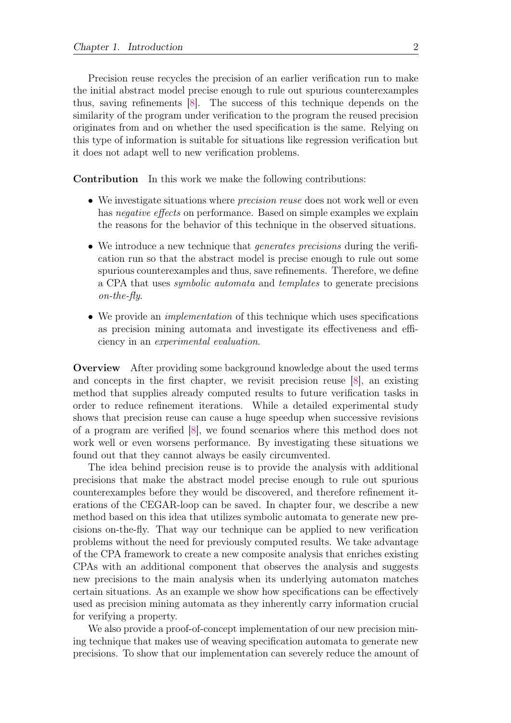Precision reuse recycles the precision of an earlier verification run to make the initial abstract model precise enough to rule out spurious counterexamples thus, saving refinements [\[8\]](#page-43-2). The success of this technique depends on the similarity of the program under verification to the program the reused precision originates from and on whether the used specification is the same. Relying on this type of information is suitable for situations like regression verification but it does not adapt well to new verification problems.

Contribution In this work we make the following contributions:

- We investigate situations where *precision reuse* does not work well or even has *negative effects* on performance. Based on simple examples we explain the reasons for the behavior of this technique in the observed situations.
- We introduce a new technique that *generates precisions* during the verification run so that the abstract model is precise enough to rule out some spurious counterexamples and thus, save refinements. Therefore, we define a CPA that uses symbolic automata and templates to generate precisions on-the-fly.
- We provide an *implementation* of this technique which uses specifications as precision mining automata and investigate its effectiveness and efficiency in an experimental evaluation.

Overview After providing some background knowledge about the used terms and concepts in the first chapter, we revisit precision reuse [\[8\]](#page-43-2), an existing method that supplies already computed results to future verification tasks in order to reduce refinement iterations. While a detailed experimental study shows that precision reuse can cause a huge speedup when successive revisions of a program are verified [\[8\]](#page-43-2), we found scenarios where this method does not work well or even worsens performance. By investigating these situations we found out that they cannot always be easily circumvented.

The idea behind precision reuse is to provide the analysis with additional precisions that make the abstract model precise enough to rule out spurious counterexamples before they would be discovered, and therefore refinement iterations of the CEGAR-loop can be saved. In chapter four, we describe a new method based on this idea that utilizes symbolic automata to generate new precisions on-the-fly. That way our technique can be applied to new verification problems without the need for previously computed results. We take advantage of the CPA framework to create a new composite analysis that enriches existing CPAs with an additional component that observes the analysis and suggests new precisions to the main analysis when its underlying automaton matches certain situations. As an example we show how specifications can be effectively used as precision mining automata as they inherently carry information crucial for verifying a property.

We also provide a proof-of-concept implementation of our new precision mining technique that makes use of weaving specification automata to generate new precisions. To show that our implementation can severely reduce the amount of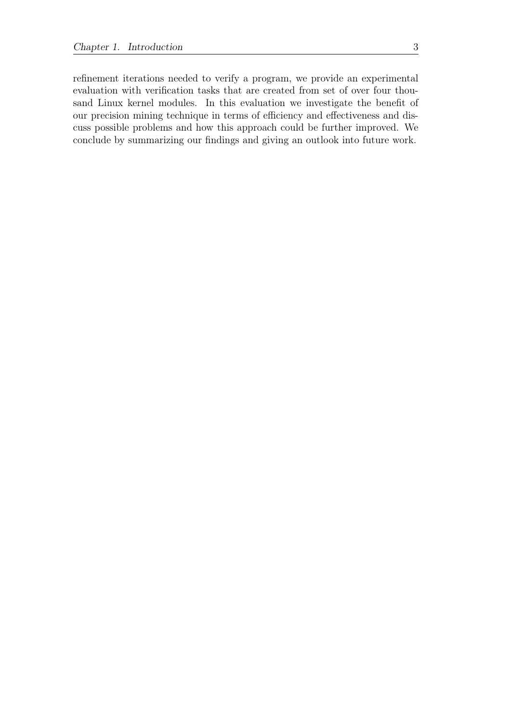refinement iterations needed to verify a program, we provide an experimental evaluation with verification tasks that are created from set of over four thousand Linux kernel modules. In this evaluation we investigate the benefit of our precision mining technique in terms of efficiency and effectiveness and discuss possible problems and how this approach could be further improved. We conclude by summarizing our findings and giving an outlook into future work.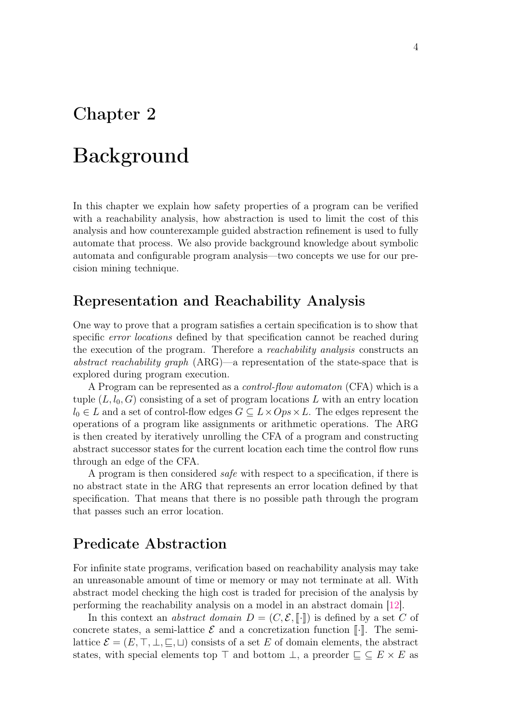### <span id="page-9-0"></span>Chapter 2

# Background

In this chapter we explain how safety properties of a program can be verified with a reachability analysis, how abstraction is used to limit the cost of this analysis and how counterexample guided abstraction refinement is used to fully automate that process. We also provide background knowledge about symbolic automata and configurable program analysis—two concepts we use for our precision mining technique.

### Representation and Reachability Analysis

One way to prove that a program satisfies a certain specification is to show that specific error locations defined by that specification cannot be reached during the execution of the program. Therefore a reachability analysis constructs an abstract reachability graph (ARG)—a representation of the state-space that is explored during program execution.

A Program can be represented as a control-flow automaton (CFA) which is a tuple  $(L, l_0, G)$  consisting of a set of program locations L with an entry location  $l_0 \in L$  and a set of control-flow edges  $G \subseteq L \times Ops \times L$ . The edges represent the operations of a program like assignments or arithmetic operations. The ARG is then created by iteratively unrolling the CFA of a program and constructing abstract successor states for the current location each time the control flow runs through an edge of the CFA.

A program is then considered safe with respect to a specification, if there is no abstract state in the ARG that represents an error location defined by that specification. That means that there is no possible path through the program that passes such an error location.

### Predicate Abstraction

For infinite state programs, verification based on reachability analysis may take an unreasonable amount of time or memory or may not terminate at all. With abstract model checking the high cost is traded for precision of the analysis by performing the reachability analysis on a model in an abstract domain [\[12\]](#page-44-2).

In this context an *abstract domain*  $D = (C, \mathcal{E}, \llbracket \cdot \rrbracket)$  is defined by a set C of concrete states, a semi-lattice  $\mathcal E$  and a concretization function  $\llbracket \cdot \rrbracket$ . The semilattice  $\mathcal{E} = (E, \top, \bot, \square, \square)$  consists of a set E of domain elements, the abstract states, with special elements top  $\top$  and bottom  $\bot$ , a preorder  $\sqsubseteq \subseteq E \times E$  as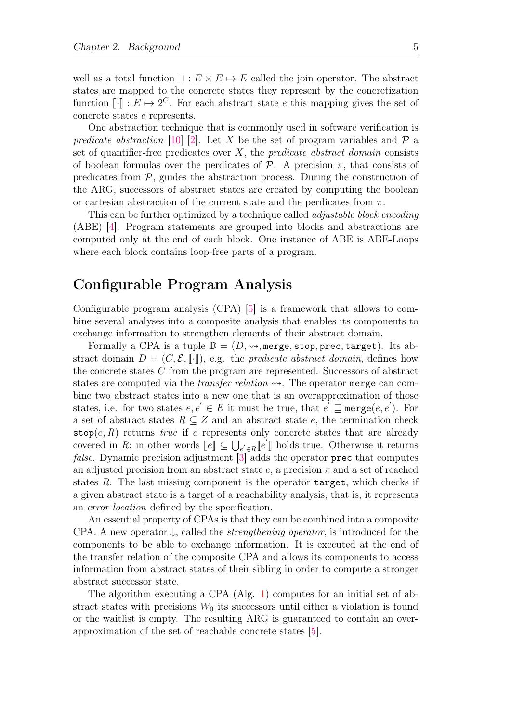well as a total function  $\sqcup : E \times E \mapsto E$  called the join operator. The abstract states are mapped to the concrete states they represent by the concretization function  $\llbracket \cdot \rrbracket : E \mapsto 2^C$ . For each abstract state e this mapping gives the set of concrete states e represents.

One abstraction technique that is commonly used in software verification is predicate abstraction [\[10\]](#page-44-0) [\[2\]](#page-43-3). Let X be the set of program variables and  $\mathcal{P}$  a set of quantifier-free predicates over  $X$ , the *predicate abstract domain* consists of boolean formulas over the perdicates of  $P$ . A precision  $\pi$ , that consists of predicates from  $P$ , guides the abstraction process. During the construction of the ARG, successors of abstract states are created by computing the boolean or cartesian abstraction of the current state and the perdicates from  $\pi$ .

This can be further optimized by a technique called *adjustable block encoding* (ABE) [\[4\]](#page-43-4). Program statements are grouped into blocks and abstractions are computed only at the end of each block. One instance of ABE is ABE-Loops where each block contains loop-free parts of a program.

### Configurable Program Analysis

Configurable program analysis (CPA) [\[5\]](#page-43-5) is a framework that allows to combine several analyses into a composite analysis that enables its components to exchange information to strengthen elements of their abstract domain.

Formally a CPA is a tuple  $\mathbb{D} = (D, \leadsto, \text{merge}, \text{stop}, \text{prec}, \text{target})$ . Its abstract domain  $D = (C, \mathcal{E}, \llbracket \cdot \rrbracket)$ , e.g. the *predicate abstract domain*, defines how the concrete states C from the program are represented. Successors of abstract states are computed via the *transfer relation*  $\rightarrow$ . The operator merge can combine two abstract states into a new one that is an overapproximation of those states, i.e. for two states  $e, e' \in E$  it must be true, that  $e' \sqsubseteq \mathtt{merge}(e, e')$ . For a set of abstract states  $R \subseteq Z$  and an abstract state e, the termination check stop $(e, R)$  returns true if e represents only concrete states that are already covered in R; in other words  $[\![e]\!] \subseteq \bigcup_{e' \in R} [\![e']\!]$  holds true. Otherwise it returns that computer false. Dynamic precision adjustment [\[3\]](#page-43-6) adds the operator prec that computes an adjusted precision from an abstract state  $e$ , a precision  $\pi$  and a set of reached states  $R$ . The last missing component is the operator  $target$ , which checks if a given abstract state is a target of a reachability analysis, that is, it represents an error location defined by the specification.

An essential property of CPAs is that they can be combined into a composite CPA. A new operator  $\downarrow$ , called the *strengthening operator*, is introduced for the components to be able to exchange information. It is executed at the end of the transfer relation of the composite CPA and allows its components to access information from abstract states of their sibling in order to compute a stronger abstract successor state.

The algorithm executing a CPA (Alg. [1\)](#page-11-0) computes for an initial set of abstract states with precisions  $W_0$  its successors until either a violation is found or the waitlist is empty. The resulting ARG is guaranteed to contain an overapproximation of the set of reachable concrete states [\[5\]](#page-43-5).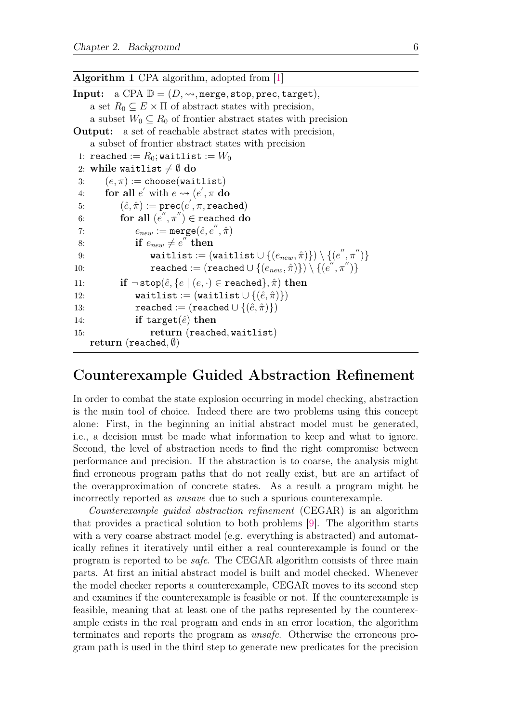<span id="page-11-0"></span>Algorithm 1 CPA algorithm, adopted from [\[1\]](#page-43-7)

```
Input: a CPA \mathbb{D} = (D, \rightsquigarrow, \text{merge}, \text{stop}, \text{prec}, \text{target}),a set R_0 \subseteq E \times \Pi of abstract states with precision,
    a subset W_0 \subseteq R_0 of frontier abstract states with precision
Output: a set of reachable abstract states with precision,
     a subset of frontier abstract states with precision
 1: reached := R_0; waitlist := W_02: while waitlist \neq \emptyset do
 3: (e, \pi) := \texttt{choose}(\texttt{waitlist})4: for all e' with e \rightsquigarrow (e', \pi \textbf{ do})5: (\hat{e}, \hat{\pi}) := \mathtt{prec}(e', \pi, \mathtt{reached})6: for all (e'',\pi'')\in \texttt{reached}\; \textbf{do}7: e_{new} := \text{merge}(\hat{e}, e'', \hat{\pi})8: if e_{new} \neq e^{''} then
 9: waitlist := (\text{waitlist} \cup \{(e_{new}, \hat{\pi})\}) \setminus \{(e'', \pi'')\})10: reached := (\texttt{reached} \cup \{(e_{new}, \hat{\pi})\}) \setminus \{(e^{''}, \pi'')\}11: if \neg stop(\hat{e}, \{e \mid (e, \cdot) \in \text{reached}\}, \hat{\pi}) then
12: waitlist := (waitlist \cup {(\hat{e}, \hat{\pi})})
13: reached := (\text{reached} \cup \{(\hat{e}, \hat{\pi})\})14: if target(\hat{e}) then
15: return (reached, waitlist)
    return (reached, (\emptyset))
```
### Counterexample Guided Abstraction Refinement

In order to combat the state explosion occurring in model checking, abstraction is the main tool of choice. Indeed there are two problems using this concept alone: First, in the beginning an initial abstract model must be generated, i.e., a decision must be made what information to keep and what to ignore. Second, the level of abstraction needs to find the right compromise between performance and precision. If the abstraction is to coarse, the analysis might find erroneous program paths that do not really exist, but are an artifact of the overapproximation of concrete states. As a result a program might be incorrectly reported as unsave due to such a spurious counterexample.

Counterexample guided abstraction refinement (CEGAR) is an algorithm that provides a practical solution to both problems [\[9\]](#page-43-1). The algorithm starts with a very coarse abstract model (e.g. everything is abstracted) and automatically refines it iteratively until either a real counterexample is found or the program is reported to be safe. The CEGAR algorithm consists of three main parts. At first an initial abstract model is built and model checked. Whenever the model checker reports a counterexample, CEGAR moves to its second step and examines if the counterexample is feasible or not. If the counterexample is feasible, meaning that at least one of the paths represented by the counterexample exists in the real program and ends in an error location, the algorithm terminates and reports the program as unsafe. Otherwise the erroneous program path is used in the third step to generate new predicates for the precision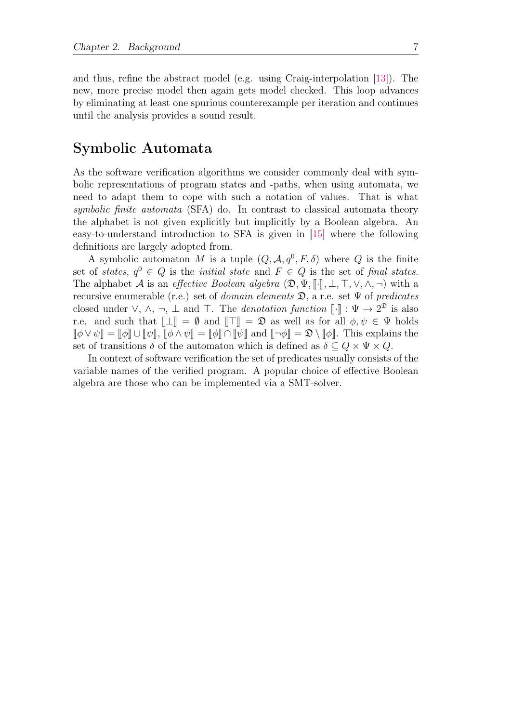and thus, refine the abstract model (e.g. using Craig-interpolation [\[13\]](#page-44-3)). The new, more precise model then again gets model checked. This loop advances by eliminating at least one spurious counterexample per iteration and continues until the analysis provides a sound result.

### Symbolic Automata

As the software verification algorithms we consider commonly deal with symbolic representations of program states and -paths, when using automata, we need to adapt them to cope with such a notation of values. That is what symbolic finite automata (SFA) do. In contrast to classical automata theory the alphabet is not given explicitly but implicitly by a Boolean algebra. An easy-to-understand introduction to SFA is given in [\[15\]](#page-44-4) where the following definitions are largely adopted from.

A symbolic automaton M is a tuple  $(Q, \mathcal{A}, q^0, F, \delta)$  where Q is the finite set of states,  $q^0 \in Q$  is the *initial state* and  $F \in Q$  is the set of final states. The alphabet A is an effective Boolean algebra  $(\mathfrak{D}, \Psi, \llbracket \cdot \rrbracket, \bot, \top, \vee, \wedge, \neg)$  with a recursive enumerable (r.e.) set of *domain elements*  $\mathfrak{D}$ , a r.e. set  $\Psi$  of *predicates* closed under  $\vee$ ,  $\wedge$ ,  $\neg$ ,  $\perp$  and  $\top$ . The *denotation function*  $\llbracket \cdot \rrbracket : \Psi \to 2^{\mathfrak{D}}$  is also r.e. and such that  $\llbracket \perp \rrbracket = \emptyset$  and  $\llbracket \top \rrbracket = \mathfrak{D}$  as well as for all  $\phi, \psi \in \Psi$  holds  $\llbracket \phi \vee \psi \rrbracket = \llbracket \phi \rrbracket \cup \llbracket \psi \rrbracket$ ,  $\llbracket \phi \wedge \psi \rrbracket = \llbracket \phi \rrbracket \cap \llbracket \psi \rrbracket$  and  $\llbracket \neg \phi \rrbracket = \mathfrak{D} \setminus \llbracket \phi \rrbracket$ . This explains the set of transitions  $\delta$  of the automaton which is defined as  $\delta \subseteq Q \times \Psi \times Q$ .

In context of software verification the set of predicates usually consists of the variable names of the verified program. A popular choice of effective Boolean algebra are those who can be implemented via a SMT-solver.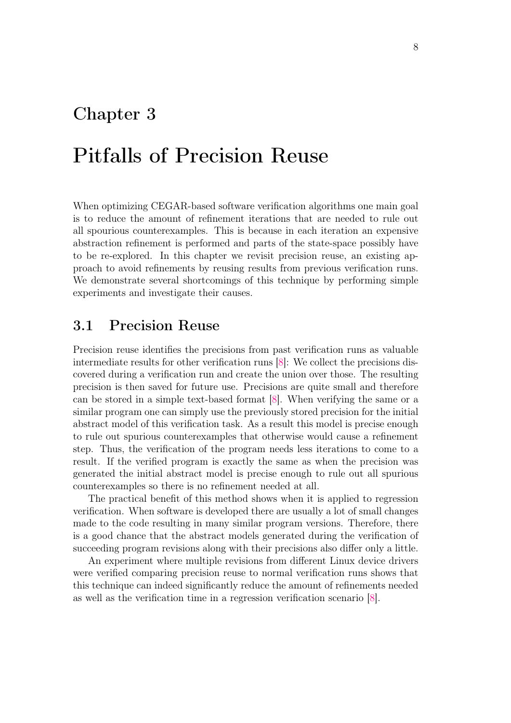### <span id="page-13-0"></span>Chapter 3

# Pitfalls of Precision Reuse

When optimizing CEGAR-based software verification algorithms one main goal is to reduce the amount of refinement iterations that are needed to rule out all spourious counterexamples. This is because in each iteration an expensive abstraction refinement is performed and parts of the state-space possibly have to be re-explored. In this chapter we revisit precision reuse, an existing approach to avoid refinements by reusing results from previous verification runs. We demonstrate several shortcomings of this technique by performing simple experiments and investigate their causes.

#### <span id="page-13-1"></span>3.1 Precision Reuse

Precision reuse identifies the precisions from past verification runs as valuable intermediate results for other verification runs [\[8\]](#page-43-2): We collect the precisions discovered during a verification run and create the union over those. The resulting precision is then saved for future use. Precisions are quite small and therefore can be stored in a simple text-based format [\[8\]](#page-43-2). When verifying the same or a similar program one can simply use the previously stored precision for the initial abstract model of this verification task. As a result this model is precise enough to rule out spurious counterexamples that otherwise would cause a refinement step. Thus, the verification of the program needs less iterations to come to a result. If the verified program is exactly the same as when the precision was generated the initial abstract model is precise enough to rule out all spurious counterexamples so there is no refinement needed at all.

The practical benefit of this method shows when it is applied to regression verification. When software is developed there are usually a lot of small changes made to the code resulting in many similar program versions. Therefore, there is a good chance that the abstract models generated during the verification of succeeding program revisions along with their precisions also differ only a little.

An experiment where multiple revisions from different Linux device drivers were verified comparing precision reuse to normal verification runs shows that this technique can indeed significantly reduce the amount of refinements needed as well as the verification time in a regression verification scenario [\[8\]](#page-43-2).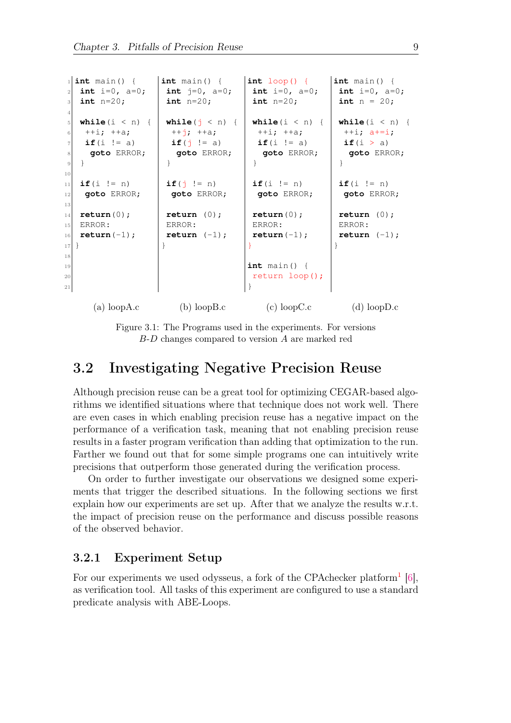```
int \text{ main}() {
|2| int i=0, a=0;
3 int n=20;
 4
   while(i < n) {
    ++i; ++a;if(i != a)8 goto ERROR;
<sup>9</sup>
10
11 if(i != n)
12 goto ERROR;
13
14 return(0);
15 ERROR:
16 return (-1);
17]18
19
20
21
      (a) loopA.c
                      int main() {
                       int j=0, a=0;
                       int n=20;
                       while(j \le n) {
                        ++i; ++a;if(\dot{1} != a)
                         goto ERROR;
                       }
                       if(j \neq 0)goto ERROR;
                       return (0);
                       ERROR:
                       return (-1);}
                          (b) loopB.c
                                         int loop() {
                                          int i=0, a=0;
                                          int n=20;
                                          while(i < n) {
                                           ++i; ++a;if(i != a)goto ERROR;
                                          }
                                          if(i != n)goto ERROR;
                                          return(0);
                                          ERROR:
                                          return (-1);}
                                         int main() {
                                          return loop();
                                         }
                                             (c) loopC.c
                                                             int main() {
                                                              int i=0, a=0;
                                                              int n = 20;
                                                              while(i < n) {
                                                               ++i; a+=i;if(i > a)goto ERROR;
                                                              }
                                                              if(i != n)goto ERROR;
                                                              return (0);
                                                              ERROR:
                                                              return (-1);
                                                             }
                                                                 (d) loopD.c
```
Figure 3.1: The Programs used in the experiments. For versions B-D changes compared to version A are marked red

### <span id="page-14-0"></span>3.2 Investigating Negative Precision Reuse

Although precision reuse can be a great tool for optimizing CEGAR-based algorithms we identified situations where that technique does not work well. There are even cases in which enabling precision reuse has a negative impact on the performance of a verification task, meaning that not enabling precision reuse results in a faster program verification than adding that optimization to the run. Farther we found out that for some simple programs one can intuitively write precisions that outperform those generated during the verification process.

On order to further investigate our observations we designed some experiments that trigger the described situations. In the following sections we first explain how our experiments are set up. After that we analyze the results w.r.t. the impact of precision reuse on the performance and discuss possible reasons of the observed behavior.

#### <span id="page-14-1"></span>3.2.1 Experiment Setup

For our experiments we used odysseus, a fork of the CPAchecker platform<sup>[1](#page-15-0)</sup> [\[6\]](#page-43-8), as verification tool. All tasks of this experiment are configured to use a standard predicate analysis with ABE-Loops.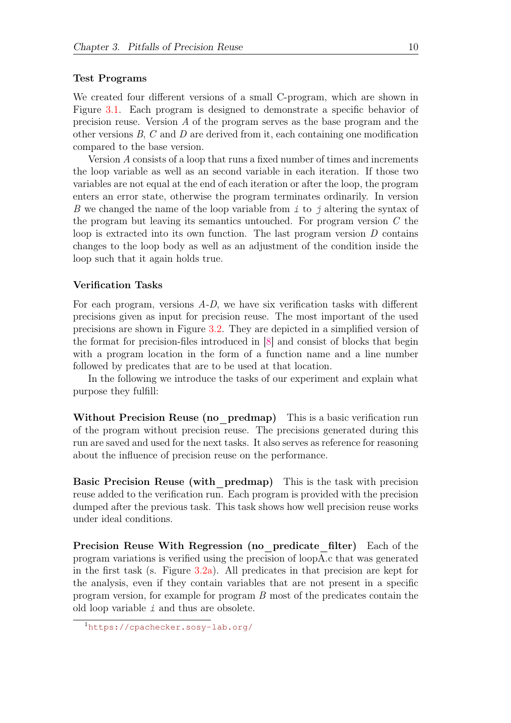#### Test Programs

We created four different versions of a small C-program, which are shown in Figure [3.1.](#page-14-2) Each program is designed to demonstrate a specific behavior of precision reuse. Version A of the program serves as the base program and the other versions  $B, C$  and  $D$  are derived from it, each containing one modification compared to the base version.

Version A consists of a loop that runs a fixed number of times and increments the loop variable as well as an second variable in each iteration. If those two variables are not equal at the end of each iteration or after the loop, the program enters an error state, otherwise the program terminates ordinarily. In version B we changed the name of the loop variable from  $\dot{i}$  to  $\dot{j}$  altering the syntax of the program but leaving its semantics untouched. For program version  $C$  the loop is extracted into its own function. The last program version  $D$  contains changes to the loop body as well as an adjustment of the condition inside the loop such that it again holds true.

#### Verification Tasks

For each program, versions A-D, we have six verification tasks with different precisions given as input for precision reuse. The most important of the used precisions are shown in Figure [3.2.](#page-16-0) They are depicted in a simplified version of the format for precision-files introduced in [\[8\]](#page-43-2) and consist of blocks that begin with a program location in the form of a function name and a line number followed by predicates that are to be used at that location.

In the following we introduce the tasks of our experiment and explain what purpose they fulfill:

Without Precision Reuse (no predmap) This is a basic verification run of the program without precision reuse. The precisions generated during this run are saved and used for the next tasks. It also serves as reference for reasoning about the influence of precision reuse on the performance.

**Basic Precision Reuse (with predmap)** This is the task with precision reuse added to the verification run. Each program is provided with the precision dumped after the previous task. This task shows how well precision reuse works under ideal conditions.

Precision Reuse With Regression (no predicate filter) Each of the program variations is verified using the precision of loopA.c that was generated in the first task (s. Figure  $3.2a$ ). All predicates in that precision are kept for the analysis, even if they contain variables that are not present in a specific program version, for example for program B most of the predicates contain the old loop variable i and thus are obsolete.

<span id="page-15-0"></span><sup>1</sup><https://cpachecker.sosy-lab.org/>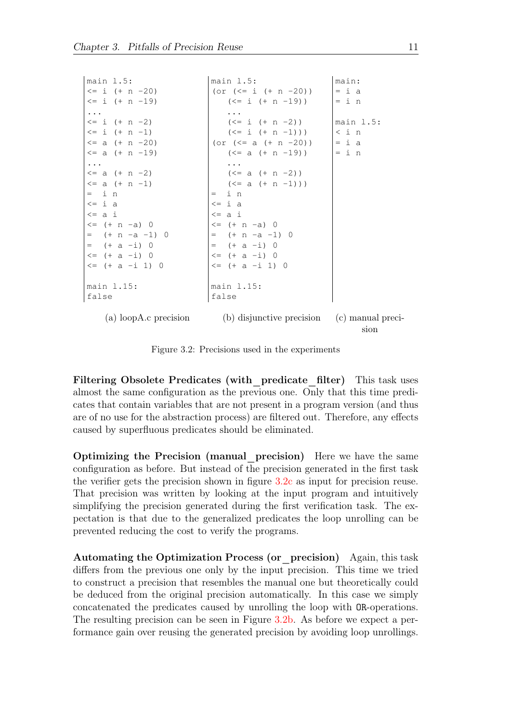<span id="page-16-0"></span>

| main 1.5:                | main 1.5:                                   | main:               |
|--------------------------|---------------------------------------------|---------------------|
| $\leq i$ (+ n -20)       | (or $(\leq i \ ( + n - 20))$                | $=$ i a             |
| $\leq$ i (+ n -19)       | $(\leq i$ $( + n - 19))$                    | $=$ in              |
| $\cdots$                 |                                             |                     |
| $\leq i$ (+ n -2)        | $(<= i (+ n -2))$                           | main 1.5:           |
| $\leq i$ (+ n -1)        | $(<= i (+ n -1))$                           | $\langle i \rangle$ |
| $\leq$ a (+ n -20)       | (or $(\leq a (+ n - 20))$                   | $=$ i a             |
| $\leq$ a (+ n -19)       | (<= a (+ n -19))                            | $= i n$             |
| $\cdots$                 |                                             |                     |
| $\leq$ a $(+ n -2)$      | $(<= a (+ n -2))$                           |                     |
| $\leq$ a (+ n -1)        | $(<= a (+ n -1)))$                          |                     |
| $=$ in                   | $=$ in                                      |                     |
| $\leq$ i a               | $\leq$ i a                                  |                     |
| $\leq$ a i               | $\leq$ a i                                  |                     |
| $\leq$ (+ n -a) 0        | $\leq$ (+ n -a) 0                           |                     |
| $=$ $(+ n - a - 1) 0$    | $=$ $(+ n - a - 1) 0$                       |                     |
| $= (+a - i) 0$           | $= (+a-i) 0$                                |                     |
| $\leq$ (+ a -i) 0        | $\leq$ (+ a -i) 0                           |                     |
| $<= (+ a - i 1) 0$       | $\leq$ (+ a -i 1) 0                         |                     |
| main 1.15:               | main 1.15:                                  |                     |
| false                    | false                                       |                     |
| (a) loop $A.c$ precision | (b) disjunctive precision (c) manual preci- | sion                |

Figure 3.2: Precisions used in the experiments

Filtering Obsolete Predicates (with predicate filter) This task uses almost the same configuration as the previous one. Only that this time predicates that contain variables that are not present in a program version (and thus are of no use for the abstraction process) are filtered out. Therefore, any effects caused by superfluous predicates should be eliminated.

Optimizing the Precision (manual precision) Here we have the same configuration as before. But instead of the precision generated in the first task the verifier gets the precision shown in figure [3.2c](#page-16-0) as input for precision reuse. That precision was written by looking at the input program and intuitively simplifying the precision generated during the first verification task. The expectation is that due to the generalized predicates the loop unrolling can be prevented reducing the cost to verify the programs.

Automating the Optimization Process (or precision) Again, this task differs from the previous one only by the input precision. This time we tried to construct a precision that resembles the manual one but theoretically could be deduced from the original precision automatically. In this case we simply concatenated the predicates caused by unrolling the loop with OR-operations. The resulting precision can be seen in Figure [3.2b.](#page-16-0) As before we expect a performance gain over reusing the generated precision by avoiding loop unrollings.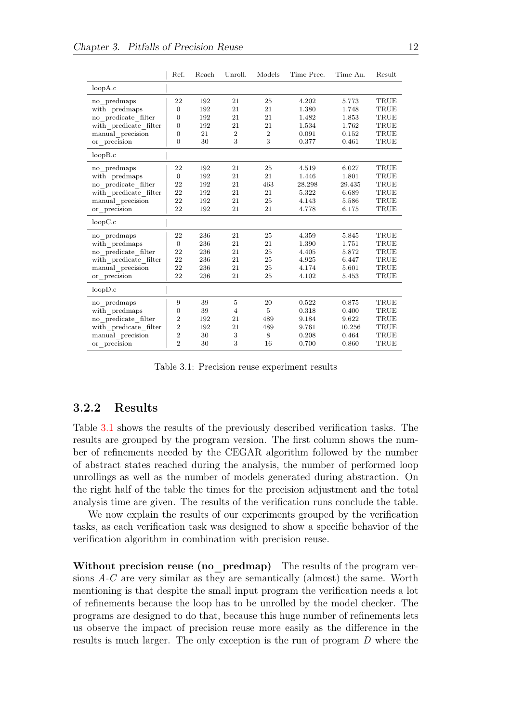<span id="page-17-1"></span>

|                       | Ref.             | Reach | Unroll.        | Models         | Time Prec. | Time An. | Result      |
|-----------------------|------------------|-------|----------------|----------------|------------|----------|-------------|
| loopA.c               |                  |       |                |                |            |          |             |
| no predmaps           | 22               | 192   | 21             | 25             | 4.202      | 5.773    | TRUE        |
| with predmaps         | $\overline{0}$   | 192   | 21             | 21             | 1.380      | 1.748    | TRUE        |
| no predicate filter   | $\boldsymbol{0}$ | 192   | 21             | 21             | 1.482      | 1.853    | TRUE        |
| with predicate filter | $\overline{0}$   | 192   | 21             | 21             | 1.534      | 1.762    | TRUE        |
| manual precision      | 0                | 21    | $\overline{2}$ | $\overline{2}$ | 0.091      | 0.152    | TRUE        |
| or precision          | $\overline{0}$   | 30    | 3              | 3              | 0.377      | 0.461    | TRUE        |
| loopB.c               |                  |       |                |                |            |          |             |
| no_predmaps           | 22               | 192   | 21             | 25             | 4.519      | 6.027    | TRUE        |
| with predmaps         | $\boldsymbol{0}$ | 192   | 21             | 21             | 1.446      | 1.801    | TRUE        |
| no predicate filter   | 22               | 192   | 21             | 463            | 28.298     | 29.435   | TRUE        |
| with predicate filter | 22               | 192   | 21             | 21             | 5.322      | 6.689    | TRUE        |
| manual precision      | 22               | 192   | 21             | 25             | 4.143      | 5.586    | TRUE        |
| or precision          | 22               | 192   | 21             | 21             | 4.778      | 6.175    | TRUE        |
| loopC.c               |                  |       |                |                |            |          |             |
| no predmaps           | 22               | 236   | 21             | 25             | 4.359      | 5.845    | TRUE        |
| with predmaps         | $\boldsymbol{0}$ | 236   | 21             | 21             | 1.390      | 1.751    | TRUE        |
| no predicate filter   | 22               | 236   | 21             | 25             | 4.405      | 5.872    | TRUE        |
| with predicate filter | 22               | 236   | 21             | 25             | 4.925      | 6.447    | TRUE        |
| manual precision      | 22               | 236   | 21             | 25             | 4.174      | 5.601    | TRUE        |
| or precision          | 22               | 236   | 21             | 25             | 4.102      | 5.453    | TRUE        |
| loopD.c               |                  |       |                |                |            |          |             |
| no predmaps           | 9                | 39    | $\overline{5}$ | 20             | 0.522      | 0.875    | TRUE        |
| with predmaps         | $\boldsymbol{0}$ | 39    | $\overline{4}$ | $\overline{5}$ | 0.318      | 0.400    | <b>TRUE</b> |
| no predicate filter   | $\overline{2}$   | 192   | 21             | 489            | 9.184      | 9.622    | TRUE        |
| with predicate filter | $\overline{2}$   | 192   | 21             | 489            | 9.761      | 10.256   | TRUE        |
| $manual\_precision$   | $\overline{2}$   | 30    | 3              | 8              | 0.208      | 0.464    | TRUE        |
| or precision          | $\overline{2}$   | 30    | 3              | 16             | 0.700      | 0.860    | TRUE        |

Table 3.1: Precision reuse experiment results

#### <span id="page-17-0"></span>3.2.2 Results

Table [3.1](#page-17-1) shows the results of the previously described verification tasks. The results are grouped by the program version. The first column shows the number of refinements needed by the CEGAR algorithm followed by the number of abstract states reached during the analysis, the number of performed loop unrollings as well as the number of models generated during abstraction. On the right half of the table the times for the precision adjustment and the total analysis time are given. The results of the verification runs conclude the table.

We now explain the results of our experiments grouped by the verification tasks, as each verification task was designed to show a specific behavior of the verification algorithm in combination with precision reuse.

Without precision reuse (no predmap) The results of the program versions A-C are very similar as they are semantically (almost) the same. Worth mentioning is that despite the small input program the verification needs a lot of refinements because the loop has to be unrolled by the model checker. The programs are designed to do that, because this huge number of refinements lets us observe the impact of precision reuse more easily as the difference in the results is much larger. The only exception is the run of program D where the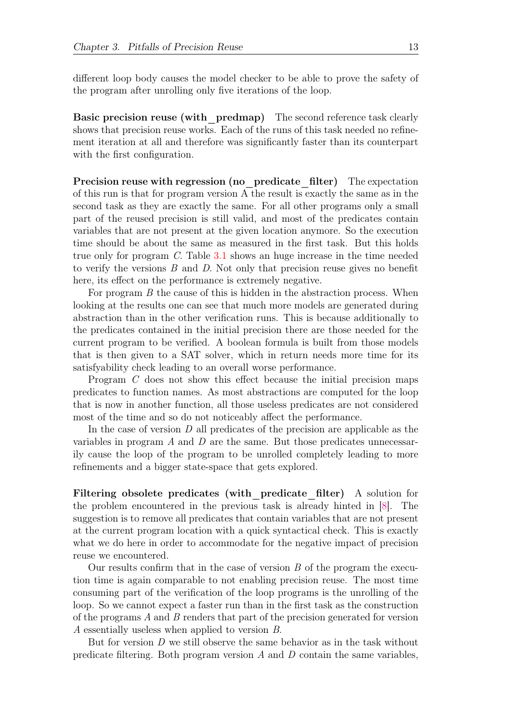different loop body causes the model checker to be able to prove the safety of the program after unrolling only five iterations of the loop.

Basic precision reuse (with predmap) The second reference task clearly shows that precision reuse works. Each of the runs of this task needed no refinement iteration at all and therefore was significantly faster than its counterpart with the first configuration.

Precision reuse with regression (no predicate filter) The expectation of this run is that for program version A the result is exactly the same as in the second task as they are exactly the same. For all other programs only a small part of the reused precision is still valid, and most of the predicates contain variables that are not present at the given location anymore. So the execution time should be about the same as measured in the first task. But this holds true only for program C. Table [3.1](#page-17-1) shows an huge increase in the time needed to verify the versions  $B$  and  $D$ . Not only that precision reuse gives no benefit here, its effect on the performance is extremely negative.

For program B the cause of this is hidden in the abstraction process. When looking at the results one can see that much more models are generated during abstraction than in the other verification runs. This is because additionally to the predicates contained in the initial precision there are those needed for the current program to be verified. A boolean formula is built from those models that is then given to a SAT solver, which in return needs more time for its satisfyability check leading to an overall worse performance.

Program C does not show this effect because the initial precision maps predicates to function names. As most abstractions are computed for the loop that is now in another function, all those useless predicates are not considered most of the time and so do not noticeably affect the performance.

In the case of version  $D$  all predicates of the precision are applicable as the variables in program  $A$  and  $D$  are the same. But those predicates unnecessarily cause the loop of the program to be unrolled completely leading to more refinements and a bigger state-space that gets explored.

Filtering obsolete predicates (with predicate filter) A solution for the problem encountered in the previous task is already hinted in [\[8\]](#page-43-2). The suggestion is to remove all predicates that contain variables that are not present at the current program location with a quick syntactical check. This is exactly what we do here in order to accommodate for the negative impact of precision reuse we encountered.

Our results confirm that in the case of version  $B$  of the program the execution time is again comparable to not enabling precision reuse. The most time consuming part of the verification of the loop programs is the unrolling of the loop. So we cannot expect a faster run than in the first task as the construction of the programs A and B renders that part of the precision generated for version A essentially useless when applied to version B.

But for version  $D$  we still observe the same behavior as in the task without predicate filtering. Both program version  $A$  and  $D$  contain the same variables,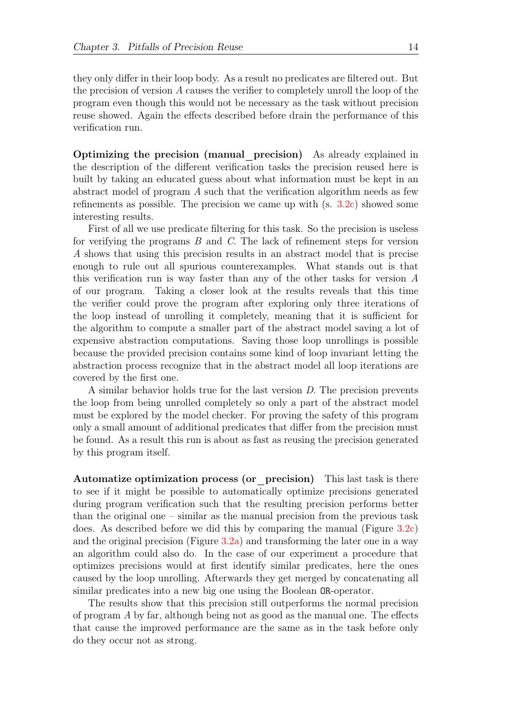they only differ in their loop body. As a result no predicates are filtered out. But the precision of version A causes the verifier to completely unroll the loop of the program even though this would not be necessary as the task without precision reuse showed. Again the effects described before drain the performance of this verification run.

Optimizing the precision (manual\_precision) As already explained in the description of the different verification tasks the precision reused here is built by taking an educated guess about what information must be kept in an abstract model of program A such that the verification algorithm needs as few refinements as possible. The precision we came up with (s. [3.2c\)](#page-16-0) showed some interesting results.

First of all we use predicate filtering for this task. So the precision is useless for verifying the programs B and C. The lack of refinement steps for version A shows that using this precision results in an abstract model that is precise enough to rule out all spurious counterexamples. What stands out is that this verification run is way faster than any of the other tasks for version  $A$ of our program. Taking a closer look at the results reveals that this time the verifier could prove the program after exploring only three iterations of the loop instead of unrolling it completely, meaning that it is sufficient for the algorithm to compute a smaller part of the abstract model saving a lot of expensive abstraction computations. Saving those loop unrollings is possible because the provided precision contains some kind of loop invariant letting the abstraction process recognize that in the abstract model all loop iterations are covered by the first one.

A similar behavior holds true for the last version D. The precision prevents the loop from being unrolled completely so only a part of the abstract model must be explored by the model checker. For proving the safety of this program only a small amount of additional predicates that differ from the precision must be found. As a result this run is about as fast as reusing the precision generated by this program itself.

Automatize optimization process (or precision) This last task is there to see if it might be possible to automatically optimize precisions generated during program verification such that the resulting precision performs better than the original one – similar as the manual precision from the previous task does. As described before we did this by comparing the manual (Figure [3.2c\)](#page-16-0) and the original precision (Figure [3.2a\)](#page-16-0) and transforming the later one in a way an algorithm could also do. In the case of our experiment a procedure that optimizes precisions would at first identify similar predicates, here the ones caused by the loop unrolling. Afterwards they get merged by concatenating all similar predicates into a new big one using the Boolean OR-operator.

The results show that this precision still outperforms the normal precision of program A by far, although being not as good as the manual one. The effects that cause the improved performance are the same as in the task before only do they occur not as strong.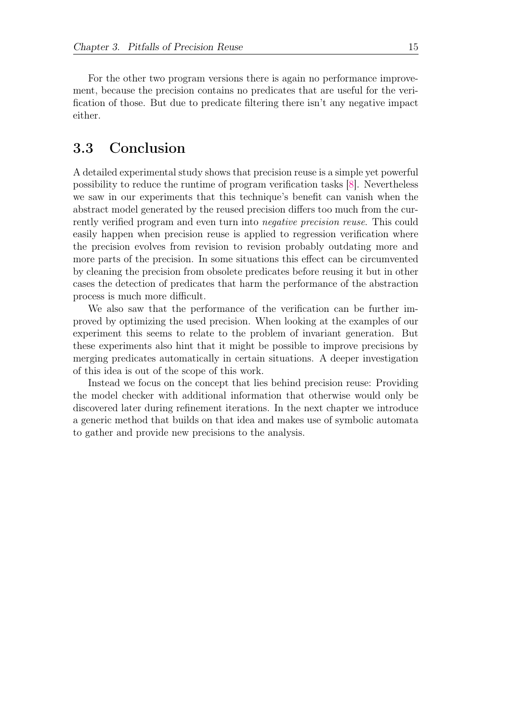For the other two program versions there is again no performance improvement, because the precision contains no predicates that are useful for the verification of those. But due to predicate filtering there isn't any negative impact either.

### <span id="page-20-0"></span>3.3 Conclusion

A detailed experimental study shows that precision reuse is a simple yet powerful possibility to reduce the runtime of program verification tasks [\[8\]](#page-43-2). Nevertheless we saw in our experiments that this technique's benefit can vanish when the abstract model generated by the reused precision differs too much from the currently verified program and even turn into negative precision reuse. This could easily happen when precision reuse is applied to regression verification where the precision evolves from revision to revision probably outdating more and more parts of the precision. In some situations this effect can be circumvented by cleaning the precision from obsolete predicates before reusing it but in other cases the detection of predicates that harm the performance of the abstraction process is much more difficult.

We also saw that the performance of the verification can be further improved by optimizing the used precision. When looking at the examples of our experiment this seems to relate to the problem of invariant generation. But these experiments also hint that it might be possible to improve precisions by merging predicates automatically in certain situations. A deeper investigation of this idea is out of the scope of this work.

Instead we focus on the concept that lies behind precision reuse: Providing the model checker with additional information that otherwise would only be discovered later during refinement iterations. In the next chapter we introduce a generic method that builds on that idea and makes use of symbolic automata to gather and provide new precisions to the analysis.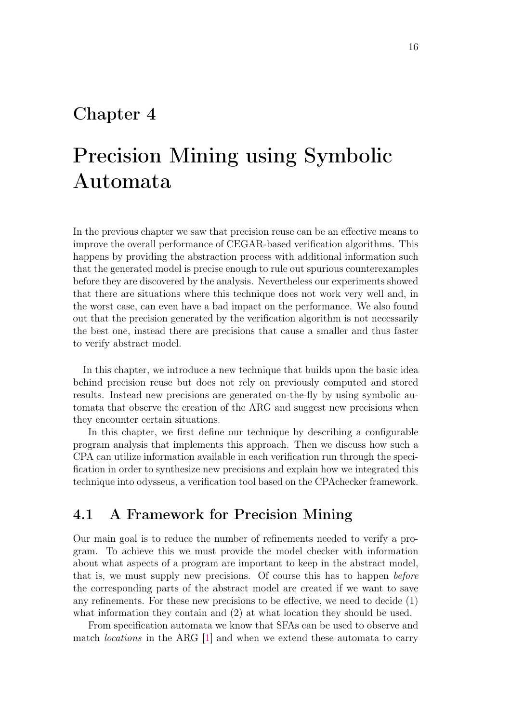### <span id="page-21-0"></span>Chapter 4

# Precision Mining using Symbolic Automata

In the previous chapter we saw that precision reuse can be an effective means to improve the overall performance of CEGAR-based verification algorithms. This happens by providing the abstraction process with additional information such that the generated model is precise enough to rule out spurious counterexamples before they are discovered by the analysis. Nevertheless our experiments showed that there are situations where this technique does not work very well and, in the worst case, can even have a bad impact on the performance. We also found out that the precision generated by the verification algorithm is not necessarily the best one, instead there are precisions that cause a smaller and thus faster to verify abstract model.

In this chapter, we introduce a new technique that builds upon the basic idea behind precision reuse but does not rely on previously computed and stored results. Instead new precisions are generated on-the-fly by using symbolic automata that observe the creation of the ARG and suggest new precisions when they encounter certain situations.

In this chapter, we first define our technique by describing a configurable program analysis that implements this approach. Then we discuss how such a CPA can utilize information available in each verification run through the specification in order to synthesize new precisions and explain how we integrated this technique into odysseus, a verification tool based on the CPAchecker framework.

### <span id="page-21-1"></span>4.1 A Framework for Precision Mining

Our main goal is to reduce the number of refinements needed to verify a program. To achieve this we must provide the model checker with information about what aspects of a program are important to keep in the abstract model, that is, we must supply new precisions. Of course this has to happen *before* the corresponding parts of the abstract model are created if we want to save any refinements. For these new precisions to be effective, we need to decide (1) what information they contain and  $(2)$  at what location they should be used.

From specification automata we know that SFAs can be used to observe and match locations in the ARG [\[1\]](#page-43-7) and when we extend these automata to carry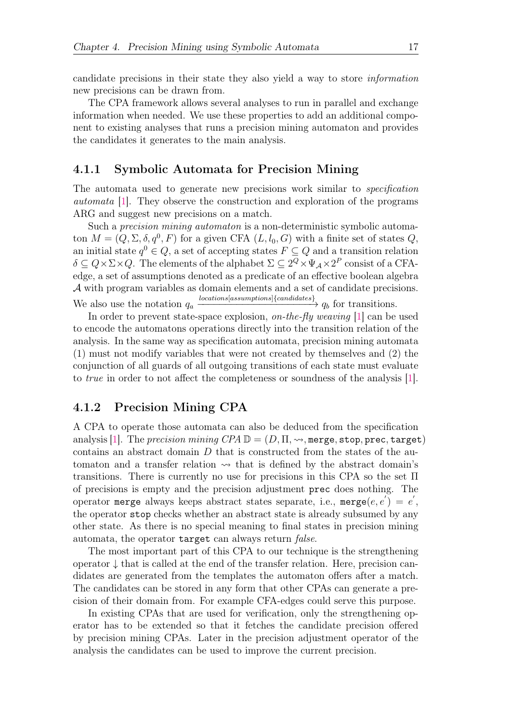candidate precisions in their state they also yield a way to store information new precisions can be drawn from.

The CPA framework allows several analyses to run in parallel and exchange information when needed. We use these properties to add an additional component to existing analyses that runs a precision mining automaton and provides the candidates it generates to the main analysis.

#### <span id="page-22-0"></span>4.1.1 Symbolic Automata for Precision Mining

The automata used to generate new precisions work similar to *specification* automata [\[1\]](#page-43-7). They observe the construction and exploration of the programs ARG and suggest new precisions on a match.

Such a *precision mining automaton* is a non-deterministic symbolic automaton  $M = (Q, \Sigma, \delta, q^0, F)$  for a given CFA  $(L, l_0, G)$  with a finite set of states Q, an initial state  $q^0 \in Q$ , a set of accepting states  $F \subseteq Q$  and a transition relation  $\delta \subseteq Q \times \Sigma \times Q$ . The elements of the alphabet  $\Sigma \subseteq 2^Q \times \Psi_{\mathcal{A}} \times 2^P$  consist of a CFAedge, a set of assumptions denoted as a predicate of an effective boolean algebra A with program variables as domain elements and a set of candidate precisions. We also use the notation  $q_a \xrightarrow{locations[assumptions]{(candidates)}} q_b$  for transitions.

In order to prevent state-space explosion, on-the-fly weaving [\[1\]](#page-43-7) can be used to encode the automatons operations directly into the transition relation of the analysis. In the same way as specification automata, precision mining automata (1) must not modify variables that were not created by themselves and (2) the conjunction of all guards of all outgoing transitions of each state must evaluate to true in order to not affect the completeness or soundness of the analysis [\[1\]](#page-43-7).

#### <span id="page-22-1"></span>4.1.2 Precision Mining CPA

A CPA to operate those automata can also be deduced from the specification analysis [\[1\]](#page-43-7). The precision mining  $CPA \mathbb{D} = (D, \Pi, \rightsquigarrow, \text{merge}, \text{stop}, \text{prec}, \text{target})$ contains an abstract domain D that is constructed from the states of the automaton and a transfer relation  $\rightsquigarrow$  that is defined by the abstract domain's transitions. There is currently no use for precisions in this CPA so the set Π of precisions is empty and the precision adjustment prec does nothing. The operator merge always keeps abstract states separate, i.e., merge $(e, e') = e'$ , the operator stop checks whether an abstract state is already subsumed by any other state. As there is no special meaning to final states in precision mining automata, the operator target can always return false.

The most important part of this CPA to our technique is the strengthening operator ↓ that is called at the end of the transfer relation. Here, precision candidates are generated from the templates the automaton offers after a match. The candidates can be stored in any form that other CPAs can generate a precision of their domain from. For example CFA-edges could serve this purpose.

In existing CPAs that are used for verification, only the strengthening operator has to be extended so that it fetches the candidate precision offered by precision mining CPAs. Later in the precision adjustment operator of the analysis the candidates can be used to improve the current precision.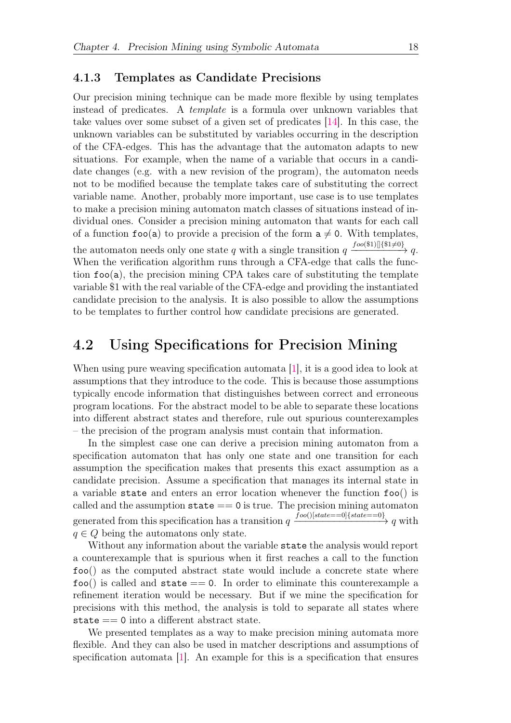#### <span id="page-23-0"></span>4.1.3 Templates as Candidate Precisions

Our precision mining technique can be made more flexible by using templates instead of predicates. A template is a formula over unknown variables that take values over some subset of a given set of predicates [\[14\]](#page-44-5). In this case, the unknown variables can be substituted by variables occurring in the description of the CFA-edges. This has the advantage that the automaton adapts to new situations. For example, when the name of a variable that occurs in a candidate changes (e.g. with a new revision of the program), the automaton needs not to be modified because the template takes care of substituting the correct variable name. Another, probably more important, use case is to use templates to make a precision mining automaton match classes of situations instead of individual ones. Consider a precision mining automaton that wants for each call of a function  $foo(a)$  to provide a precision of the form  $a \neq 0$ . With templates, the automaton needs only one state q with a single transition  $q \xrightarrow{foo(\$1)][$  $\{\$1\neq 0\}} q$ . When the verification algorithm runs through a CFA-edge that calls the function  $foo(a)$ , the precision mining CPA takes care of substituting the template variable \$1 with the real variable of the CFA-edge and providing the instantiated candidate precision to the analysis. It is also possible to allow the assumptions to be templates to further control how candidate precisions are generated.

### <span id="page-23-1"></span>4.2 Using Specifications for Precision Mining

When using pure weaving specification automata [\[1\]](#page-43-7), it is a good idea to look at assumptions that they introduce to the code. This is because those assumptions typically encode information that distinguishes between correct and erroneous program locations. For the abstract model to be able to separate these locations into different abstract states and therefore, rule out spurious counterexamples – the precision of the program analysis must contain that information.

In the simplest case one can derive a precision mining automaton from a specification automaton that has only one state and one transition for each assumption the specification makes that presents this exact assumption as a candidate precision. Assume a specification that manages its internal state in a variable state and enters an error location whenever the function foo() is called and the assumption  $state == 0$  is true. The precision mining automaton generated from this specification has a transition  $q \xrightarrow{foo(|state == 0]{state == 0}} q$  with  $q \in Q$  being the automatons only state.

Without any information about the variable state the analysis would report a counterexample that is spurious when it first reaches a call to the function foo() as the computed abstract state would include a concrete state where  $foo()$  is called and  $state == 0$ . In order to eliminate this counterexample a refinement iteration would be necessary. But if we mine the specification for precisions with this method, the analysis is told to separate all states where state == 0 into a different abstract state.

We presented templates as a way to make precision mining automata more flexible. And they can also be used in matcher descriptions and assumptions of specification automata [\[1\]](#page-43-7). An example for this is a specification that ensures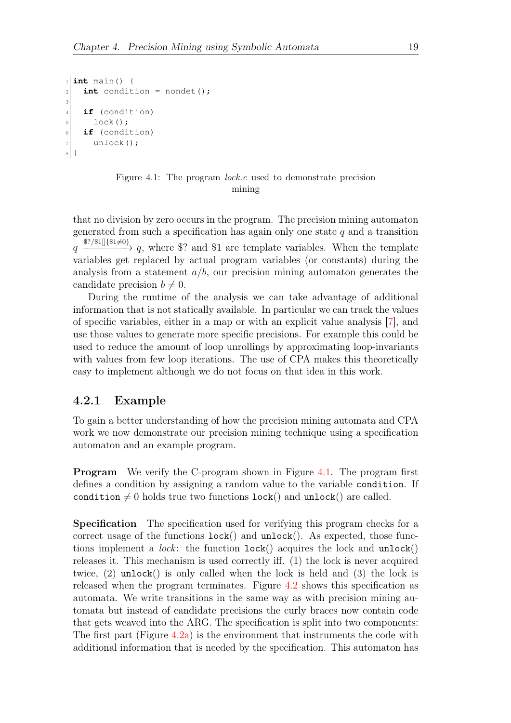```
1 int main() {
|2| int condition = nondet();
3
   if (condition)
5 lock();
6 if (condition)
7 unlock();
8 }
```
#### Figure 4.1: The program lock.c used to demonstrate precision mining

that no division by zero occurs in the program. The precision mining automaton generated from such a specification has again only one state  $q$  and a transition  $q \xrightarrow{\$?}\$1\$  $[$ <sup>\{\text{\$1\pi 0}{9}}</sub>  $q$ , where \text{\$2}} and \\$1 are template variables. When the template</sup> variables get replaced by actual program variables (or constants) during the analysis from a statement  $a/b$ , our precision mining automaton generates the candidate precision  $b \neq 0$ .

During the runtime of the analysis we can take advantage of additional information that is not statically available. In particular we can track the values of specific variables, either in a map or with an explicit value analysis [\[7\]](#page-43-9), and use those values to generate more specific precisions. For example this could be used to reduce the amount of loop unrollings by approximating loop-invariants with values from few loop iterations. The use of CPA makes this theoretically easy to implement although we do not focus on that idea in this work.

#### <span id="page-24-0"></span>4.2.1 Example

To gain a better understanding of how the precision mining automata and CPA work we now demonstrate our precision mining technique using a specification automaton and an example program.

**Program** We verify the C-program shown in Figure [4.1.](#page-24-1) The program first defines a condition by assigning a random value to the variable condition. If condition  $\neq 0$  holds true two functions lock() and unlock() are called.

Specification The specification used for verifying this program checks for a correct usage of the functions  $lock()$  and  $unlock()$ . As expected, those functions implement a *lock*: the function  $lock()$  acquires the lock and  $unk()$ releases it. This mechanism is used correctly iff. (1) the lock is never acquired twice,  $(2)$  unlock() is only called when the lock is held and  $(3)$  the lock is released when the program terminates. Figure [4.2](#page-25-0) shows this specification as automata. We write transitions in the same way as with precision mining automata but instead of candidate precisions the curly braces now contain code that gets weaved into the ARG. The specification is split into two components: The first part (Figure  $4.2a$ ) is the environment that instruments the code with additional information that is needed by the specification. This automaton has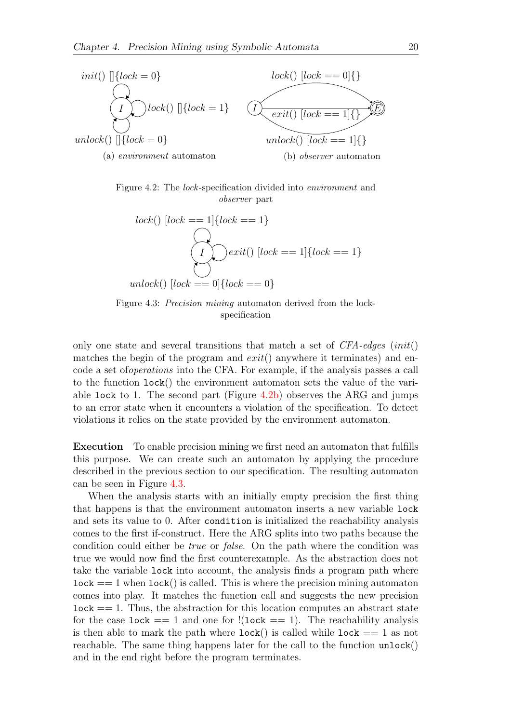<span id="page-25-0"></span>

<span id="page-25-1"></span>Figure 4.2: The *lock*-specification divided into *environment* and observer part

$$
lock() [lock == 1]{lock == 1}
$$
  

$$
\bigcirc
$$
  

$$
\bigcirc
$$
  

$$
\bigcirc
$$
  

$$
\bigcirc
$$
  

$$
rank() [lock == 1]{lock == 1}
$$
  

$$
underk() [lock == 0]{lock == 0}
$$

Figure 4.3: *Precision mining* automaton derived from the lockspecification

only one state and several transitions that match a set of  $CFA$ -edges  $(int()$ matches the begin of the program and  $exit()$  anywhere it terminates) and encode a set ofoperations into the CFA. For example, if the analysis passes a call to the function lock() the environment automaton sets the value of the variable lock to 1. The second part (Figure [4.2b\)](#page-25-0) observes the ARG and jumps to an error state when it encounters a violation of the specification. To detect violations it relies on the state provided by the environment automaton.

Execution To enable precision mining we first need an automaton that fulfills this purpose. We can create such an automaton by applying the procedure described in the previous section to our specification. The resulting automaton can be seen in Figure [4.3.](#page-25-1)

When the analysis starts with an initially empty precision the first thing that happens is that the environment automaton inserts a new variable lock and sets its value to 0. After condition is initialized the reachability analysis comes to the first if-construct. Here the ARG splits into two paths because the condition could either be true or false. On the path where the condition was true we would now find the first counterexample. As the abstraction does not take the variable lock into account, the analysis finds a program path where  $lock == 1$  when  $lock()$  is called. This is where the precision mining automaton comes into play. It matches the function call and suggests the new precision  $\texttt{lock} == 1$ . Thus, the abstraction for this location computes an abstract state for the case lock  $== 1$  and one for  $!(lock == 1)$ . The reachability analysis is then able to mark the path where  $lock()$  is called while  $lock == 1$  as not reachable. The same thing happens later for the call to the function  $\text{unlock}()$ and in the end right before the program terminates.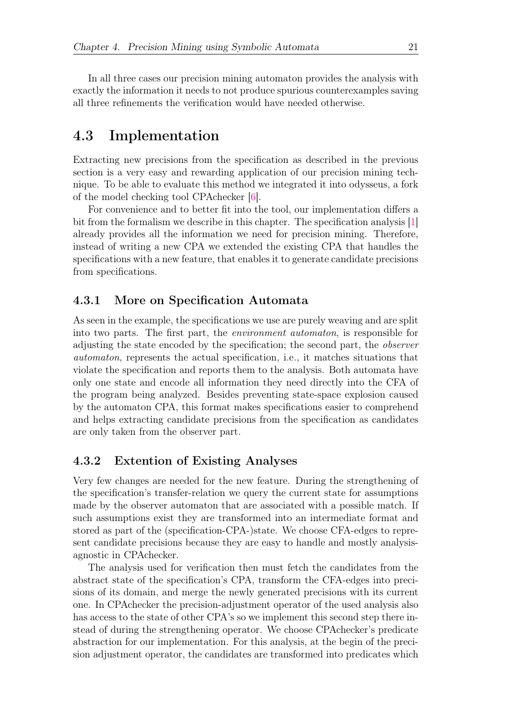In all three cases our precision mining automaton provides the analysis with exactly the information it needs to not produce spurious counterexamples saving all three refinements the verification would have needed otherwise.

### <span id="page-26-0"></span>4.3 Implementation

Extracting new precisions from the specification as described in the previous section is a very easy and rewarding application of our precision mining technique. To be able to evaluate this method we integrated it into odysseus, a fork of the model checking tool CPAchecker [\[6\]](#page-43-8).

For convenience and to better fit into the tool, our implementation differs a bit from the formalism we describe in this chapter. The specification analysis [\[1\]](#page-43-7) already provides all the information we need for precision mining. Therefore, instead of writing a new CPA we extended the existing CPA that handles the specifications with a new feature, that enables it to generate candidate precisions from specifications.

#### <span id="page-26-1"></span>4.3.1 More on Specification Automata

As seen in the example, the specifications we use are purely weaving and are split into two parts. The first part, the environment automaton, is responsible for adjusting the state encoded by the specification; the second part, the observer automaton, represents the actual specification, i.e., it matches situations that violate the specification and reports them to the analysis. Both automata have only one state and encode all information they need directly into the CFA of the program being analyzed. Besides preventing state-space explosion caused by the automaton CPA, this format makes specifications easier to comprehend and helps extracting candidate precisions from the specification as candidates are only taken from the observer part.

#### <span id="page-26-2"></span>4.3.2 Extention of Existing Analyses

Very few changes are needed for the new feature. During the strengthening of the specification's transfer-relation we query the current state for assumptions made by the observer automaton that are associated with a possible match. If such assumptions exist they are transformed into an intermediate format and stored as part of the (specification-CPA-)state. We choose CFA-edges to represent candidate precisions because they are easy to handle and mostly analysisagnostic in CPAchecker.

The analysis used for verification then must fetch the candidates from the abstract state of the specification's CPA, transform the CFA-edges into precisions of its domain, and merge the newly generated precisions with its current one. In CPAchecker the precision-adjustment operator of the used analysis also has access to the state of other CPA's so we implement this second step there instead of during the strengthening operator. We choose CPAchecker's predicate abstraction for our implementation. For this analysis, at the begin of the precision adjustment operator, the candidates are transformed into predicates which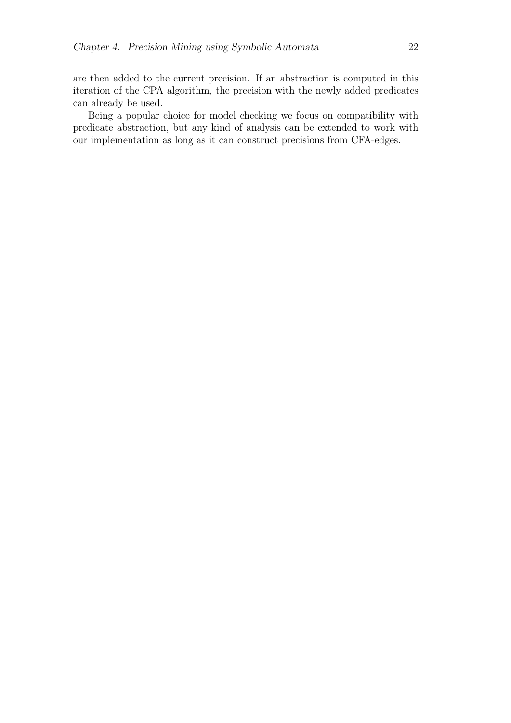are then added to the current precision. If an abstraction is computed in this iteration of the CPA algorithm, the precision with the newly added predicates can already be used.

Being a popular choice for model checking we focus on compatibility with predicate abstraction, but any kind of analysis can be extended to work with our implementation as long as it can construct precisions from CFA-edges.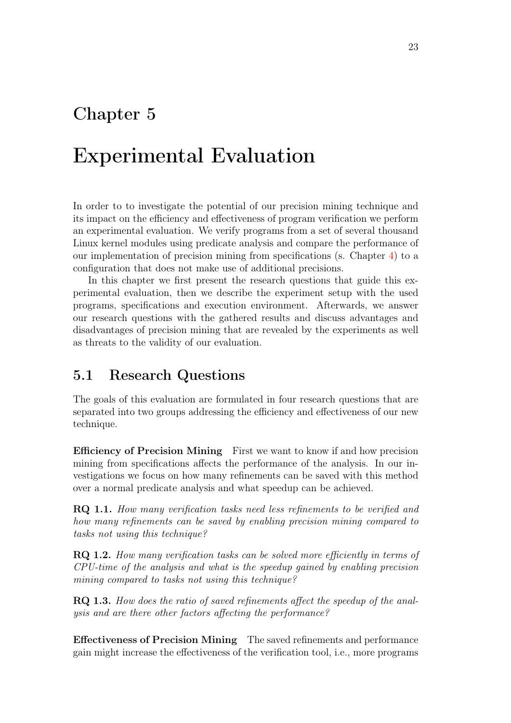### <span id="page-28-0"></span>Chapter 5

## Experimental Evaluation

In order to to investigate the potential of our precision mining technique and its impact on the efficiency and effectiveness of program verification we perform an experimental evaluation. We verify programs from a set of several thousand Linux kernel modules using predicate analysis and compare the performance of our implementation of precision mining from specifications (s. Chapter [4\)](#page-21-0) to a configuration that does not make use of additional precisions.

In this chapter we first present the research questions that guide this experimental evaluation, then we describe the experiment setup with the used programs, specifications and execution environment. Afterwards, we answer our research questions with the gathered results and discuss advantages and disadvantages of precision mining that are revealed by the experiments as well as threats to the validity of our evaluation.

### <span id="page-28-1"></span>5.1 Research Questions

The goals of this evaluation are formulated in four research questions that are separated into two groups addressing the efficiency and effectiveness of our new technique.

Efficiency of Precision Mining First we want to know if and how precision mining from specifications affects the performance of the analysis. In our investigations we focus on how many refinements can be saved with this method over a normal predicate analysis and what speedup can be achieved.

RQ 1.1. How many verification tasks need less refinements to be verified and how many refinements can be saved by enabling precision mining compared to tasks not using this technique?

RQ 1.2. How many verification tasks can be solved more efficiently in terms of CPU-time of the analysis and what is the speedup gained by enabling precision mining compared to tasks not using this technique?

RQ 1.3. How does the ratio of saved refinements affect the speedup of the analysis and are there other factors affecting the performance?

Effectiveness of Precision Mining The saved refinements and performance gain might increase the effectiveness of the verification tool, i.e., more programs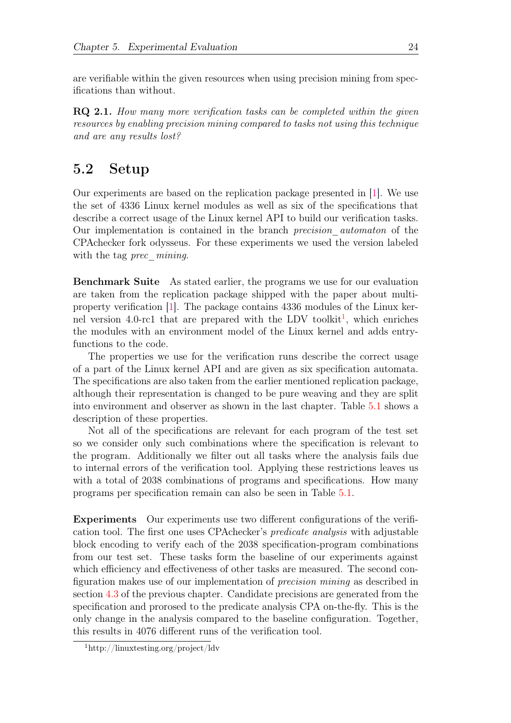are verifiable within the given resources when using precision mining from specifications than without.

RQ 2.1. How many more verification tasks can be completed within the given resources by enabling precision mining compared to tasks not using this technique and are any results lost?

### <span id="page-29-0"></span>5.2 Setup

Our experiments are based on the replication package presented in [\[1\]](#page-43-7). We use the set of 4336 Linux kernel modules as well as six of the specifications that describe a correct usage of the Linux kernel API to build our verification tasks. Our implementation is contained in the branch precision\_automaton of the CPAchecker fork odysseus. For these experiments we used the version labeled with the tag *prec\_mining*.

Benchmark Suite As stated earlier, the programs we use for our evaluation are taken from the replication package shipped with the paper about multiproperty verification [\[1\]](#page-43-7). The package contains 4336 modules of the Linux ker-nel version 4.0-rc[1](#page-29-1) that are prepared with the LDV toolkit<sup>1</sup>, which enriches the modules with an environment model of the Linux kernel and adds entryfunctions to the code.

The properties we use for the verification runs describe the correct usage of a part of the Linux kernel API and are given as six specification automata. The specifications are also taken from the earlier mentioned replication package, although their representation is changed to be pure weaving and they are split into environment and observer as shown in the last chapter. Table [5.1](#page-30-1) shows a description of these properties.

Not all of the specifications are relevant for each program of the test set so we consider only such combinations where the specification is relevant to the program. Additionally we filter out all tasks where the analysis fails due to internal errors of the verification tool. Applying these restrictions leaves us with a total of 2038 combinations of programs and specifications. How many programs per specification remain can also be seen in Table [5.1.](#page-30-1)

Experiments Our experiments use two different configurations of the verification tool. The first one uses CPAchecker's predicate analysis with adjustable block encoding to verify each of the 2038 specification-program combinations from our test set. These tasks form the baseline of our experiments against which efficiency and effectiveness of other tasks are measured. The second configuration makes use of our implementation of precision mining as described in section [4.3](#page-26-0) of the previous chapter. Candidate precisions are generated from the specification and prorosed to the predicate analysis CPA on-the-fly. This is the only change in the analysis compared to the baseline configuration. Together, this results in 4076 different runs of the verification tool.

<span id="page-29-1"></span><sup>1</sup>http://linuxtesting.org/project/ldv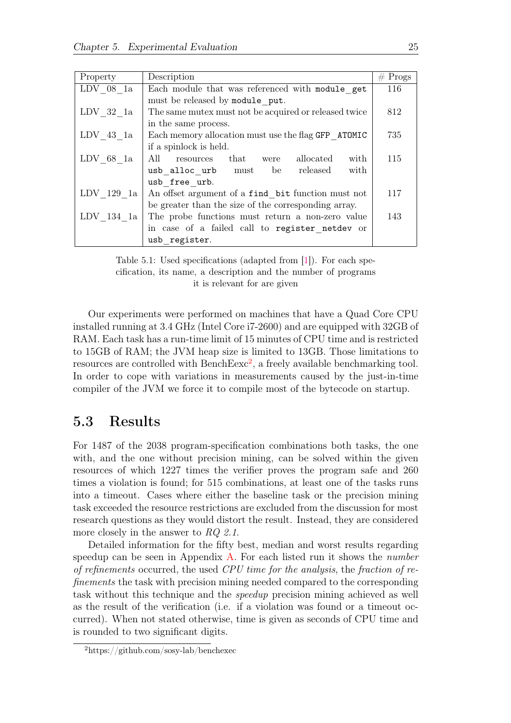<span id="page-30-1"></span>

| Property     | Description                                           | $#$ Progs |
|--------------|-------------------------------------------------------|-----------|
| $LDV$ 08 1a  | Each module that was referenced with module get       | 116       |
|              | must be released by module put.                       |           |
| $LDV$ 32 1a  | The same mutex must not be acquired or released twice | 812       |
|              | in the same process.                                  |           |
| $LDV$ 43 1a  | Each memory allocation must use the flag GFP ATOMIC   | 735       |
|              | if a spinlock is held.                                |           |
| $LDV$ 68 1a  | All<br>allocated<br>with<br>resources that were       | 115       |
|              | usb alloc urb must be released<br>with                |           |
|              | usb free urb.                                         |           |
| $LDV$ 129 1a | An offset argument of a find bit function must not    | 117       |
|              | be greater than the size of the corresponding array.  |           |
| $LDV$ 134 1a | The probe functions must return a non-zero value      | 143       |
|              | in case of a failed call to register netdev or        |           |
|              | usb register.                                         |           |

Table 5.1: Used specifications (adapted from [\[1\]](#page-43-7)). For each specification, its name, a description and the number of programs it is relevant for are given

Our experiments were performed on machines that have a Quad Core CPU installed running at 3.4 GHz (Intel Core i7-2600) and are equipped with 32GB of RAM. Each task has a run-time limit of 15 minutes of CPU time and is restricted to 15GB of RAM; the JVM heap size is limited to 13GB. Those limitations to resources are controlled with  $BenchExc^2$  $BenchExc^2$ , a freely available benchmarking tool. In order to cope with variations in measurements caused by the just-in-time compiler of the JVM we force it to compile most of the bytecode on startup.

### <span id="page-30-0"></span>5.3 Results

For 1487 of the 2038 program-specification combinations both tasks, the one with, and the one without precision mining, can be solved within the given resources of which 1227 times the verifier proves the program safe and 260 times a violation is found; for 515 combinations, at least one of the tasks runs into a timeout. Cases where either the baseline task or the precision mining task exceeded the resource restrictions are excluded from the discussion for most research questions as they would distort the result. Instead, they are considered more closely in the answer to RQ 2.1.

Detailed information for the fifty best, median and worst results regarding speedup can be seen in Appendix [A.](#page-40-0) For each listed run it shows the *number* of refinements occurred, the used CPU time for the analysis, the fraction of refinements the task with precision mining needed compared to the corresponding task without this technique and the speedup precision mining achieved as well as the result of the verification (i.e. if a violation was found or a timeout occurred). When not stated otherwise, time is given as seconds of CPU time and is rounded to two significant digits.

<span id="page-30-2"></span><sup>2</sup>https://github.com/sosy-lab/benchexec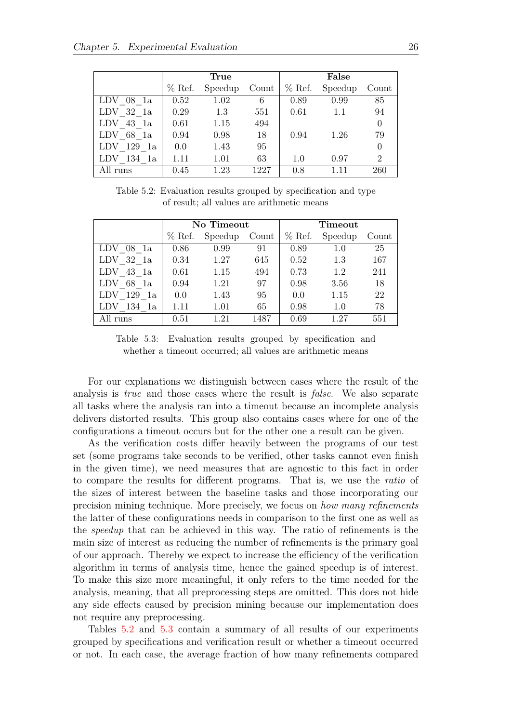<span id="page-31-0"></span>

|              |          | True    |       | False    |         |                |  |  |
|--------------|----------|---------|-------|----------|---------|----------------|--|--|
|              | $%$ Ref. | Speedup | Count | $%$ Ref. | Speedup | Count          |  |  |
| $LDV$ 08 1a  | 0.52     | 1.02    | 6     | 0.89     | 0.99    | 85             |  |  |
| $LDV$ 32 1a  | 0.29     | 1.3     | 551   | 0.61     | 1.1     | 94             |  |  |
| $LDV$ 43 1a  | 0.61     | 1.15    | 494   |          |         | $\theta$       |  |  |
| $LDV$ 68 1a  | 0.94     | 0.98    | 18    | 0.94     | 1.26    | 79             |  |  |
| $LDV$ 129 1a | 0.0      | 1.43    | 95    |          |         | $\theta$       |  |  |
| $LDV$ 134 1a | 1.11     | 1.01    | 63    | 1.0      | 0.97    | $\overline{2}$ |  |  |
| All runs     | 0.45     | 1.23    | 1227  | 0.8      | 1.11    | 260            |  |  |

Table 5.2: Evaluation results grouped by specification and type of result; all values are arithmetic means

<span id="page-31-1"></span>

|                     |              | No Timeout |       |          | Timeout |       |
|---------------------|--------------|------------|-------|----------|---------|-------|
|                     | $%$ Ref.     | Speedup    | Count | $%$ Ref. | Speedup | Count |
| 08 la               | 0.86         | 0.99       | 91    | 0.89     | 1.0     | 25    |
| 32 la<br>LDV        | 1.27<br>0.34 |            | 645   | 0.52     | 1.3     | 167   |
| 43 1a<br>LDV        | 0.61         | 1.15       | 494   | 0.73     | 1.2     | 241   |
| 68 1a<br><b>LDV</b> | 0.94         | 1.21       | 97    | 0.98     | 3.56    | 18    |
| 129<br>LDV<br>1a    | 0.0          | 1.43       | 95    | 0.0      | 1.15    | 22    |
| 134 1a              | 1.11         | 1.01       | 65    | 0.98     | 1.0     | 78    |
| All runs            | 0.51         | 1.21       | 1487  | 0.69     | 1.27    | 551   |

Table 5.3: Evaluation results grouped by specification and whether a timeout occurred; all values are arithmetic means

For our explanations we distinguish between cases where the result of the analysis is true and those cases where the result is false. We also separate all tasks where the analysis ran into a timeout because an incomplete analysis delivers distorted results. This group also contains cases where for one of the configurations a timeout occurs but for the other one a result can be given.

As the verification costs differ heavily between the programs of our test set (some programs take seconds to be verified, other tasks cannot even finish in the given time), we need measures that are agnostic to this fact in order to compare the results for different programs. That is, we use the ratio of the sizes of interest between the baseline tasks and those incorporating our precision mining technique. More precisely, we focus on how many refinements the latter of these configurations needs in comparison to the first one as well as the speedup that can be achieved in this way. The ratio of refinements is the main size of interest as reducing the number of refinements is the primary goal of our approach. Thereby we expect to increase the efficiency of the verification algorithm in terms of analysis time, hence the gained speedup is of interest. To make this size more meaningful, it only refers to the time needed for the analysis, meaning, that all preprocessing steps are omitted. This does not hide any side effects caused by precision mining because our implementation does not require any preprocessing.

Tables [5.2](#page-31-0) and [5.3](#page-31-1) contain a summary of all results of our experiments grouped by specifications and verification result or whether a timeout occurred or not. In each case, the average fraction of how many refinements compared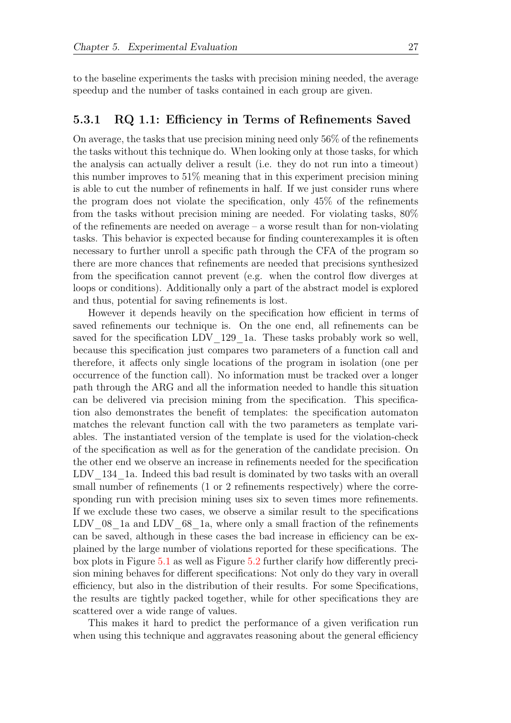to the baseline experiments the tasks with precision mining needed, the average speedup and the number of tasks contained in each group are given.

#### <span id="page-32-0"></span>5.3.1 RQ 1.1: Efficiency in Terms of Refinements Saved

On average, the tasks that use precision mining need only 56% of the refinements the tasks without this technique do. When looking only at those tasks, for which the analysis can actually deliver a result (i.e. they do not run into a timeout) this number improves to 51% meaning that in this experiment precision mining is able to cut the number of refinements in half. If we just consider runs where the program does not violate the specification, only 45% of the refinements from the tasks without precision mining are needed. For violating tasks, 80% of the refinements are needed on average – a worse result than for non-violating tasks. This behavior is expected because for finding counterexamples it is often necessary to further unroll a specific path through the CFA of the program so there are more chances that refinements are needed that precisions synthesized from the specification cannot prevent (e.g. when the control flow diverges at loops or conditions). Additionally only a part of the abstract model is explored and thus, potential for saving refinements is lost.

However it depends heavily on the specification how efficient in terms of saved refinements our technique is. On the one end, all refinements can be saved for the specification LDV 129 1a. These tasks probably work so well, because this specification just compares two parameters of a function call and therefore, it affects only single locations of the program in isolation (one per occurrence of the function call). No information must be tracked over a longer path through the ARG and all the information needed to handle this situation can be delivered via precision mining from the specification. This specification also demonstrates the benefit of templates: the specification automaton matches the relevant function call with the two parameters as template variables. The instantiated version of the template is used for the violation-check of the specification as well as for the generation of the candidate precision. On the other end we observe an increase in refinements needed for the specification LDV 134 1a. Indeed this bad result is dominated by two tasks with an overall small number of refinements (1 or 2 refinements respectively) where the corresponding run with precision mining uses six to seven times more refinements. If we exclude these two cases, we observe a similar result to the specifications LDV  $08$  1a and LDV  $68$  1a, where only a small fraction of the refinements can be saved, although in these cases the bad increase in efficiency can be explained by the large number of violations reported for these specifications. The box plots in Figure [5.1](#page-33-1) as well as Figure [5.2](#page-34-1) further clarify how differently precision mining behaves for different specifications: Not only do they vary in overall efficiency, but also in the distribution of their results. For some Specifications, the results are tightly packed together, while for other specifications they are scattered over a wide range of values.

This makes it hard to predict the performance of a given verification run when using this technique and aggravates reasoning about the general efficiency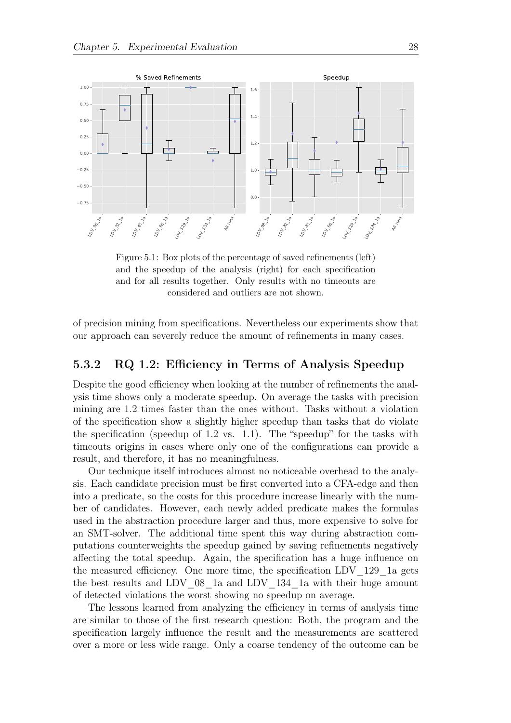<span id="page-33-1"></span>

Figure 5.1: Box plots of the percentage of saved refinements (left) and the speedup of the analysis (right) for each specification and for all results together. Only results with no timeouts are considered and outliers are not shown.

of precision mining from specifications. Nevertheless our experiments show that our approach can severely reduce the amount of refinements in many cases.

#### <span id="page-33-0"></span>5.3.2 RQ 1.2: Efficiency in Terms of Analysis Speedup

Despite the good efficiency when looking at the number of refinements the analysis time shows only a moderate speedup. On average the tasks with precision mining are 1.2 times faster than the ones without. Tasks without a violation of the specification show a slightly higher speedup than tasks that do violate the specification (speedup of 1.2 vs. 1.1). The "speedup" for the tasks with timeouts origins in cases where only one of the configurations can provide a result, and therefore, it has no meaningfulness.

Our technique itself introduces almost no noticeable overhead to the analysis. Each candidate precision must be first converted into a CFA-edge and then into a predicate, so the costs for this procedure increase linearly with the number of candidates. However, each newly added predicate makes the formulas used in the abstraction procedure larger and thus, more expensive to solve for an SMT-solver. The additional time spent this way during abstraction computations counterweights the speedup gained by saving refinements negatively affecting the total speedup. Again, the specification has a huge influence on the measured efficiency. One more time, the specification LDV\_129\_1a gets the best results and LDV\_08\_1a and LDV\_134\_1a with their huge amount of detected violations the worst showing no speedup on average.

The lessons learned from analyzing the efficiency in terms of analysis time are similar to those of the first research question: Both, the program and the specification largely influence the result and the measurements are scattered over a more or less wide range. Only a coarse tendency of the outcome can be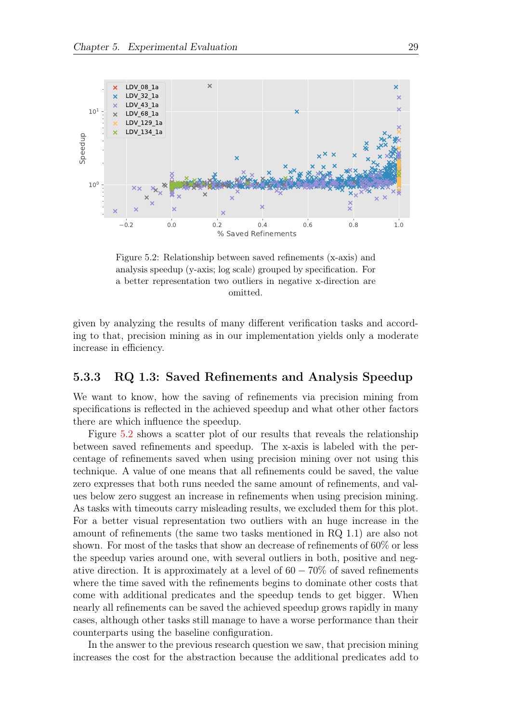<span id="page-34-1"></span>

Figure 5.2: Relationship between saved refinements (x-axis) and analysis speedup (y-axis; log scale) grouped by specification. For a better representation two outliers in negative x-direction are omitted.

given by analyzing the results of many different verification tasks and according to that, precision mining as in our implementation yields only a moderate increase in efficiency.

#### <span id="page-34-0"></span>5.3.3 RQ 1.3: Saved Refinements and Analysis Speedup

We want to know, how the saving of refinements via precision mining from specifications is reflected in the achieved speedup and what other other factors there are which influence the speedup.

Figure [5.2](#page-34-1) shows a scatter plot of our results that reveals the relationship between saved refinements and speedup. The x-axis is labeled with the percentage of refinements saved when using precision mining over not using this technique. A value of one means that all refinements could be saved, the value zero expresses that both runs needed the same amount of refinements, and values below zero suggest an increase in refinements when using precision mining. As tasks with timeouts carry misleading results, we excluded them for this plot. For a better visual representation two outliers with an huge increase in the amount of refinements (the same two tasks mentioned in RQ 1.1) are also not shown. For most of the tasks that show an decrease of refinements of 60% or less the speedup varies around one, with several outliers in both, positive and negative direction. It is approximately at a level of  $60 - 70\%$  of saved refinements where the time saved with the refinements begins to dominate other costs that come with additional predicates and the speedup tends to get bigger. When nearly all refinements can be saved the achieved speedup grows rapidly in many cases, although other tasks still manage to have a worse performance than their counterparts using the baseline configuration.

In the answer to the previous research question we saw, that precision mining increases the cost for the abstraction because the additional predicates add to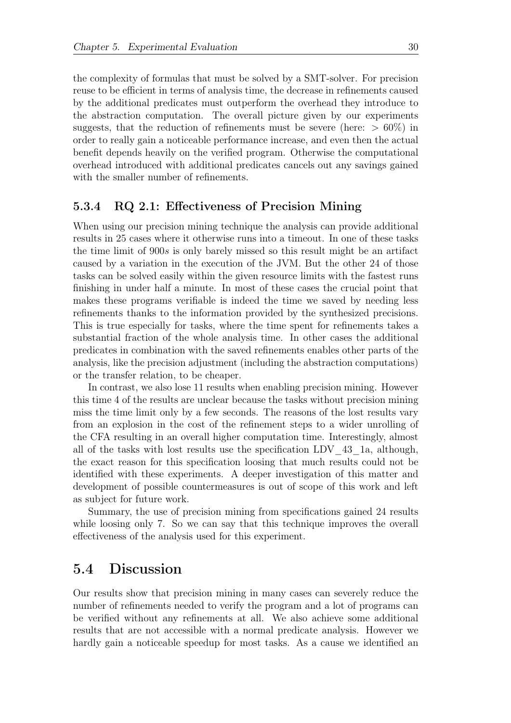the complexity of formulas that must be solved by a SMT-solver. For precision reuse to be efficient in terms of analysis time, the decrease in refinements caused by the additional predicates must outperform the overhead they introduce to the abstraction computation. The overall picture given by our experiments suggests, that the reduction of refinements must be severe (here:  $> 60\%$ ) in order to really gain a noticeable performance increase, and even then the actual benefit depends heavily on the verified program. Otherwise the computational overhead introduced with additional predicates cancels out any savings gained with the smaller number of refinements.

#### <span id="page-35-0"></span>5.3.4 RQ 2.1: Effectiveness of Precision Mining

When using our precision mining technique the analysis can provide additional results in 25 cases where it otherwise runs into a timeout. In one of these tasks the time limit of 900s is only barely missed so this result might be an artifact caused by a variation in the execution of the JVM. But the other 24 of those tasks can be solved easily within the given resource limits with the fastest runs finishing in under half a minute. In most of these cases the crucial point that makes these programs verifiable is indeed the time we saved by needing less refinements thanks to the information provided by the synthesized precisions. This is true especially for tasks, where the time spent for refinements takes a substantial fraction of the whole analysis time. In other cases the additional predicates in combination with the saved refinements enables other parts of the analysis, like the precision adjustment (including the abstraction computations) or the transfer relation, to be cheaper.

In contrast, we also lose 11 results when enabling precision mining. However this time 4 of the results are unclear because the tasks without precision mining miss the time limit only by a few seconds. The reasons of the lost results vary from an explosion in the cost of the refinement steps to a wider unrolling of the CFA resulting in an overall higher computation time. Interestingly, almost all of the tasks with lost results use the specification LDV\_43\_1a, although, the exact reason for this specification loosing that much results could not be identified with these experiments. A deeper investigation of this matter and development of possible countermeasures is out of scope of this work and left as subject for future work.

Summary, the use of precision mining from specifications gained 24 results while loosing only 7. So we can say that this technique improves the overall effectiveness of the analysis used for this experiment.

### <span id="page-35-1"></span>5.4 Discussion

Our results show that precision mining in many cases can severely reduce the number of refinements needed to verify the program and a lot of programs can be verified without any refinements at all. We also achieve some additional results that are not accessible with a normal predicate analysis. However we hardly gain a noticeable speedup for most tasks. As a cause we identified an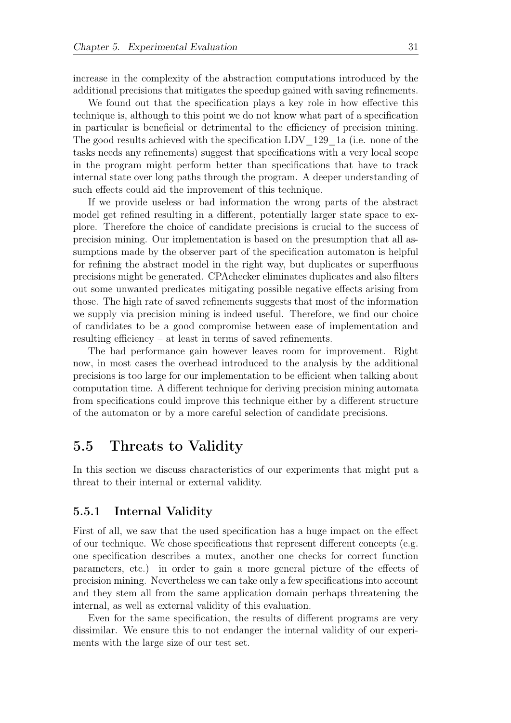increase in the complexity of the abstraction computations introduced by the additional precisions that mitigates the speedup gained with saving refinements.

We found out that the specification plays a key role in how effective this technique is, although to this point we do not know what part of a specification in particular is beneficial or detrimental to the efficiency of precision mining. The good results achieved with the specification LDV  $129$  1a (i.e. none of the tasks needs any refinements) suggest that specifications with a very local scope in the program might perform better than specifications that have to track internal state over long paths through the program. A deeper understanding of such effects could aid the improvement of this technique.

If we provide useless or bad information the wrong parts of the abstract model get refined resulting in a different, potentially larger state space to explore. Therefore the choice of candidate precisions is crucial to the success of precision mining. Our implementation is based on the presumption that all assumptions made by the observer part of the specification automaton is helpful for refining the abstract model in the right way, but duplicates or superfluous precisions might be generated. CPAchecker eliminates duplicates and also filters out some unwanted predicates mitigating possible negative effects arising from those. The high rate of saved refinements suggests that most of the information we supply via precision mining is indeed useful. Therefore, we find our choice of candidates to be a good compromise between ease of implementation and resulting efficiency – at least in terms of saved refinements.

The bad performance gain however leaves room for improvement. Right now, in most cases the overhead introduced to the analysis by the additional precisions is too large for our implementation to be efficient when talking about computation time. A different technique for deriving precision mining automata from specifications could improve this technique either by a different structure of the automaton or by a more careful selection of candidate precisions.

### <span id="page-36-0"></span>5.5 Threats to Validity

In this section we discuss characteristics of our experiments that might put a threat to their internal or external validity.

#### <span id="page-36-1"></span>5.5.1 Internal Validity

First of all, we saw that the used specification has a huge impact on the effect of our technique. We chose specifications that represent different concepts (e.g. one specification describes a mutex, another one checks for correct function parameters, etc.) in order to gain a more general picture of the effects of precision mining. Nevertheless we can take only a few specifications into account and they stem all from the same application domain perhaps threatening the internal, as well as external validity of this evaluation.

Even for the same specification, the results of different programs are very dissimilar. We ensure this to not endanger the internal validity of our experiments with the large size of our test set.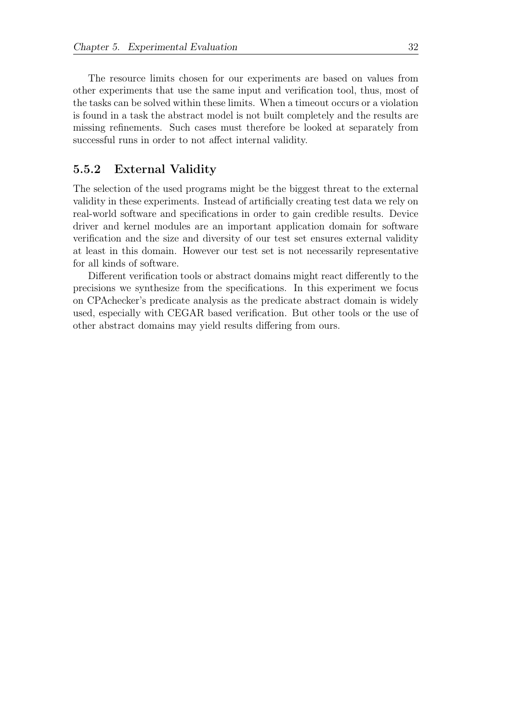The resource limits chosen for our experiments are based on values from other experiments that use the same input and verification tool, thus, most of the tasks can be solved within these limits. When a timeout occurs or a violation is found in a task the abstract model is not built completely and the results are missing refinements. Such cases must therefore be looked at separately from successful runs in order to not affect internal validity.

#### <span id="page-37-0"></span>5.5.2 External Validity

The selection of the used programs might be the biggest threat to the external validity in these experiments. Instead of artificially creating test data we rely on real-world software and specifications in order to gain credible results. Device driver and kernel modules are an important application domain for software verification and the size and diversity of our test set ensures external validity at least in this domain. However our test set is not necessarily representative for all kinds of software.

Different verification tools or abstract domains might react differently to the precisions we synthesize from the specifications. In this experiment we focus on CPAchecker's predicate analysis as the predicate abstract domain is widely used, especially with CEGAR based verification. But other tools or the use of other abstract domains may yield results differing from ours.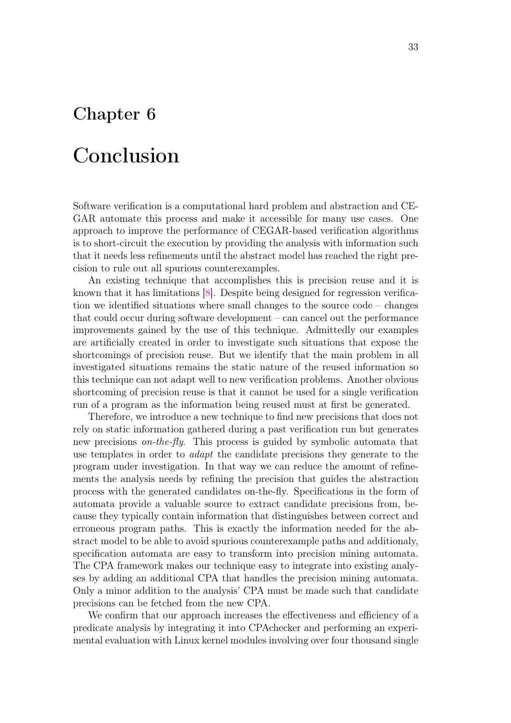## <span id="page-38-0"></span>Chapter 6

# Conclusion

Software verification is a computational hard problem and abstraction and CE-GAR automate this process and make it accessible for many use cases. One approach to improve the performance of CEGAR-based verification algorithms is to short-circuit the execution by providing the analysis with information such that it needs less refinements until the abstract model has reached the right precision to rule out all spurious counterexamples.

An existing technique that accomplishes this is precision reuse and it is known that it has limitations [\[8\]](#page-43-2). Despite being designed for regression verification we identified situations where small changes to the source code – changes that could occur during software development – can cancel out the performance improvements gained by the use of this technique. Admittedly our examples are artificially created in order to investigate such situations that expose the shortcomings of precision reuse. But we identify that the main problem in all investigated situations remains the static nature of the reused information so this technique can not adapt well to new verification problems. Another obvious shortcoming of precision reuse is that it cannot be used for a single verification run of a program as the information being reused must at first be generated.

Therefore, we introduce a new technique to find new precisions that does not rely on static information gathered during a past verification run but generates new precisions on-the-fly. This process is guided by symbolic automata that use templates in order to adapt the candidate precisions they generate to the program under investigation. In that way we can reduce the amount of refinements the analysis needs by refining the precision that guides the abstraction process with the generated candidates on-the-fly. Specifications in the form of automata provide a valuable source to extract candidate precisions from, because they typically contain information that distinguishes between correct and erroneous program paths. This is exactly the information needed for the abstract model to be able to avoid spurious counterexample paths and additionaly, specification automata are easy to transform into precision mining automata. The CPA framework makes our technique easy to integrate into existing analyses by adding an additional CPA that handles the precision mining automata. Only a minor addition to the analysis' CPA must be made such that candidate precisions can be fetched from the new CPA.

We confirm that our approach increases the effectiveness and efficiency of a predicate analysis by integrating it into CPAchecker and performing an experimental evaluation with Linux kernel modules involving over four thousand single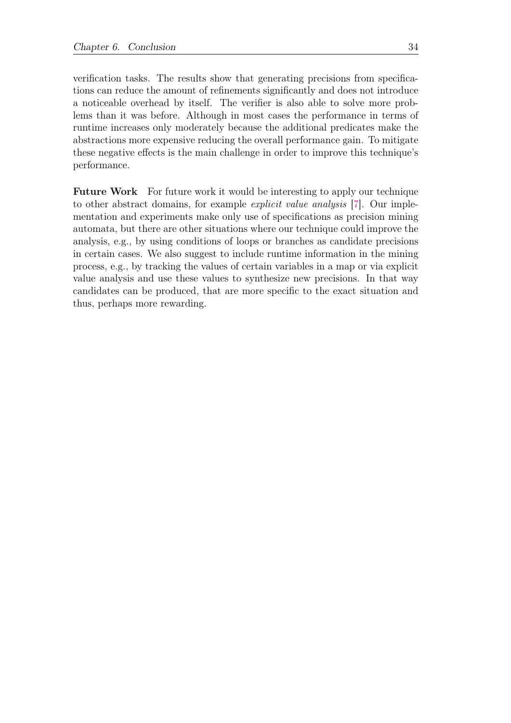verification tasks. The results show that generating precisions from specifications can reduce the amount of refinements significantly and does not introduce a noticeable overhead by itself. The verifier is also able to solve more problems than it was before. Although in most cases the performance in terms of runtime increases only moderately because the additional predicates make the abstractions more expensive reducing the overall performance gain. To mitigate these negative effects is the main challenge in order to improve this technique's performance.

Future Work For future work it would be interesting to apply our technique to other abstract domains, for example explicit value analysis [\[7\]](#page-43-9). Our implementation and experiments make only use of specifications as precision mining automata, but there are other situations where our technique could improve the analysis, e.g., by using conditions of loops or branches as candidate precisions in certain cases. We also suggest to include runtime information in the mining process, e.g., by tracking the values of certain variables in a map or via explicit value analysis and use these values to synthesize new precisions. In that way candidates can be produced, that are more specific to the exact situation and thus, perhaps more rewarding.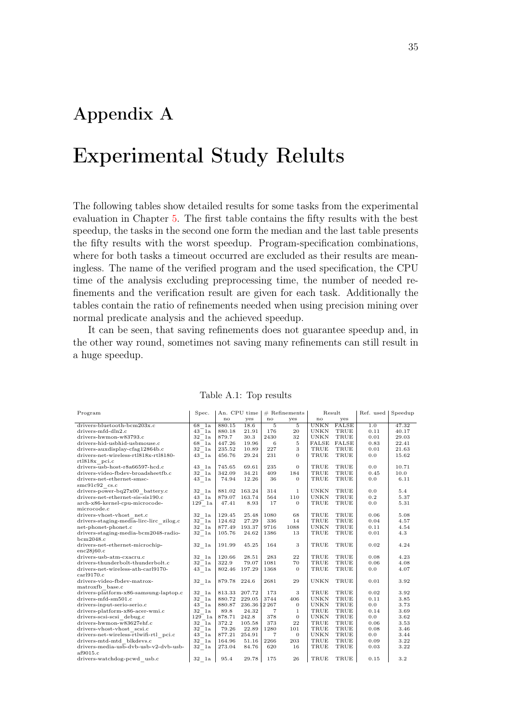## <span id="page-40-0"></span>Appendix A

# Experimental Study Relults

The following tables show detailed results for some tasks from the experimental evaluation in Chapter [5.](#page-28-0) The first table contains the fifty results with the best speedup, the tasks in the second one form the median and the last table presents the fifty results with the worst speedup. Program-specification combinations, where for both tasks a timeout occurred are excluded as their results are meaningless. The name of the verified program and the used specification, the CPU time of the analysis excluding preprocessing time, the number of needed refinements and the verification result are given for each task. Additionally the tables contain the ratio of refinements needed when using precision mining over normal predicate analysis and the achieved speedup.

It can be seen, that saving refinements does not guarantee speedup and, in the other way round, sometimes not saving many refinements can still result in a huge speedup.

<span id="page-40-1"></span>

| Program                                 | Spec.                             |               | An. CPU time         |      | $#$ Refinements | Result       |              | Ref. used | Speedup |
|-----------------------------------------|-----------------------------------|---------------|----------------------|------|-----------------|--------------|--------------|-----------|---------|
|                                         |                                   | no            | yes                  | no   | yes             | $\mathbf{n}$ | yes          |           |         |
| drivers-bluetooth-bcm203x.c             | 68 la                             | 880.15        | 18.6                 | 5    | 5               | <b>UNKN</b>  | <b>FALSE</b> | 1.0       | 47.32   |
| drivers-mfd-dln2.c                      | 43 1a                             | 880.18        | 21.91                | 176  | 20              | UNKN         | TRUE         | 0.11      | 40.17   |
| drivers-hwmon-w83793.c                  | 32 la                             | 879.7         | 30.3                 | 2430 | 32              | <b>UNKN</b>  | TRUE         | 0.01      | 29.03   |
| drivers-hid-usbhid-usbmouse.c           | 68 1a                             | 447.26        | 19.96                | 6    | 5               | FALSE        | FALSE        | 0.83      | 22.41   |
| drivers-auxdisplay-cfag12864b.c         | 32 la                             | 235.52        | 10.89                | 227  | 3               | TRUE         | TRUE         | 0.01      | 21.63   |
| drivers-net-wireless-rtl818x-rtl8180-   | 43 la                             | 456.76        | 29.24                | 231  | $\Omega$        | TRUE         | TRUE         | 0.0       | 15.62   |
| rtl818x pci.c                           |                                   |               |                      |      |                 |              |              |           |         |
| drivers-usb-host-r8a66597-hcd.c         | 43 1a                             | 745.65        | 69.61                | 235  | $\overline{0}$  | TRUE         | TRUE         | 0.0       | 10.71   |
| drivers-video-fbdev-broadsheetfb.c      | 32 1a                             | 342.09        | 34.21                | 409  | 184             | TRUE         | TRUE         | 0.45      | 10.0    |
| drivers-net-ethernet-smsc-              | $43$ $1a$                         | 74.94         | 12.26                | 36   | $\Omega$        | TRUE         | TRUE         | 0.0       | 6.11    |
| $smc91c92$ cs.c                         |                                   |               |                      |      |                 |              |              |           |         |
| drivers-power-bq27x00 battery.c         | 32 la                             | 881.02 163.24 |                      | 314  | 1               | <b>UNKN</b>  | TRUE         | 0.0       | 5.4     |
| drivers-net-ethernet-sis-sis190.c       | 43 1a                             | 879.07 163.74 |                      | 564  | 110             | <b>UNKN</b>  | TRUE         | 0.2       | 5.37    |
| arch-x86-kernel-cpu-microcode-          | $129\quad1\mathrm{a}$             | 47.41         | 8.93                 | 17   | $\overline{0}$  | TRUE         | TRUE         | 0.0       | 5.31    |
| microcode.c                             |                                   |               |                      |      |                 |              |              |           |         |
| drivers-vhost-vhost net.c               | 32 la                             | 129.45        | 25.48                | 1080 | 68              | TRUE         | TRUE         | 0.06      | 5.08    |
| drivers-staging-media-lirc-lirc zilog.c | $32$ <sup><math>-1a</math></sup>  | 124.62        | 27.29                | 336  | 14              | TRUE         | TRUE         | 0.04      | 4.57    |
| net-phonet-phonet.c                     | 32 la                             | 877.49        | 193.37               | 9716 | 1088            | <b>UNKN</b>  | TRUE         | 0.11      | 4.54    |
| drivers-staging-media-bcm2048-radio-    | 32 la                             | 105.76        | 24.62                | 1386 | 13              | TRUE         | TRUE         | 0.01      | 4.3     |
| bcm2048.c                               |                                   |               |                      |      |                 |              |              |           |         |
| drivers-net-ethernet-microchip-         | 32 la                             | 191.99        | 45.25                | 164  | 3               | TRUE         | TRUE         | 0.02      | 4.24    |
| enc28j60.c                              |                                   |               |                      |      |                 |              |              |           |         |
| drivers-usb-atm-cxacru.c                | 32 la                             | 120.66        | 28.51                | 283  | 22              | TRUE         | TRUE         | 0.08      | 4.23    |
| drivers-thunderbolt-thunderbolt.c       | 32 la                             | 322.9         | 79.07                | 1081 | 70              | TRUE         | TRUE         | 0.06      | 4.08    |
| drivers-net-wireless-ath-carl9170-      | 43 la                             | 802.46        | 197.29               | 1368 | $\mathbf{0}$    | TRUE         | TRUE         | 0.0       | 4.07    |
| car19170.c                              |                                   |               |                      |      |                 |              |              |           |         |
| drivers-video-fbdev-matrox-             | 32 la                             | 879.78 224.6  |                      | 2681 | 29              | <b>UNKN</b>  | TRUE         | 0.01      | 3.92    |
| matroxfb base.c                         |                                   |               |                      |      |                 |              |              |           |         |
| drivers-platform-x86-samsung-laptop.c   | 32 la                             | 813.33        | 207.72               | 173  | 3               | TRUE         | TRUE         | 0.02      | 3.92    |
| drivers-mfd-sm501.c                     | $32$ <sup><math>-</math></sup> 1a | 880.72 229.05 |                      | 3744 | 406             | <b>UNKN</b>  | TRUE         | 0.11      | 3.85    |
| drivers-input-serio-serio.c             | 43 1a                             |               | 880.87 236.36 12 267 |      | $\overline{0}$  | <b>UNKN</b>  | TRUE         | 0.0       | 3.73    |
| drivers-platform-x86-acer-wmi.c         | 32 la                             | 89.8          | 24.32                | 7    | $\mathbf{1}$    | TRUE         | TRUE         | 0.14      | 3.69    |
| drivers-scsi-scsi debug.c               | 129 la                            | 878.71        | 242.8                | 378  | $\overline{0}$  | <b>UNKN</b>  | TRUE         | 0.0       | 3.62    |
| drivers-hwmon-w83627ehf.c               | 32 la                             | 372.2         | 105.58               | 373  | 22              | TRUE         | TRUE         | 0.06      | 3.53    |
| drivers-vhost-vhost scsi.c              | $32$ <sup><math>-</math></sup> 1a | 79.26         | 22.89                | 1280 | 101             | TRUE         | TRUE         | 0.08      | 3.46    |
| drivers-net-wireless-rtlwifi-rtl pci.c  | 43 la                             | 877.21        | 254.91               | 7    | $\mathbf{0}$    | <b>UNKN</b>  | TRUE         | 0.0       | 3.44    |
| drivers-mtd-mtd blkdevs.c               | 32 la                             | 164.96        | 51.16                | 2266 | 203             | TRUE         | TRUE         | 0.09      | 3.22    |
| drivers-media-usb-dvb-usb-v2-dvb-usb-   | 32 la                             | 273.04        | 84.76                | 620  | 16              | TRUE         | TRUE         | 0.03      | 3.22    |
| af9015.c                                |                                   |               |                      |      |                 |              |              |           |         |
| drivers-watchdog-pcwd usb.c             | $32$ 1a                           | 95.4          | 29.78                | 175  | 26              | TRUE         | TRUE         | 0.15      | 3.2     |

Table A.1: Top results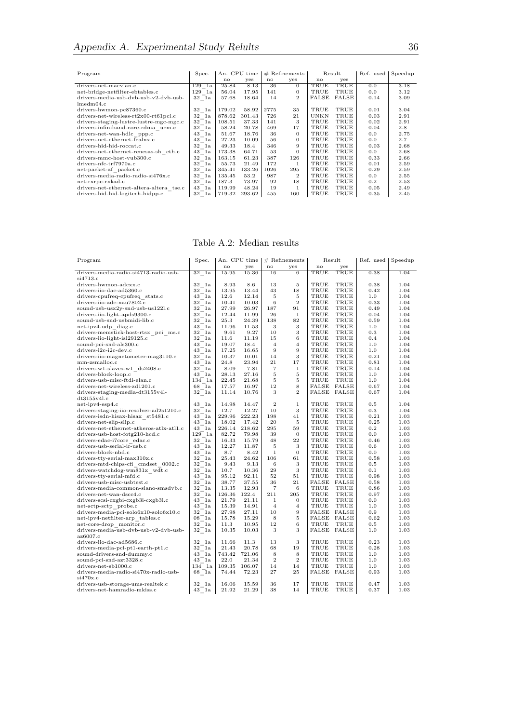| Program                                  | Spec.           |        | An. CPU time |              | $#$ Refinements |       | Result | Ref. used | Speedup |
|------------------------------------------|-----------------|--------|--------------|--------------|-----------------|-------|--------|-----------|---------|
|                                          |                 | no     | yes          | $\mathbf{n}$ | yes             | no    | yes    |           |         |
| drivers-net-macylan.c                    | 129<br>1a       | 25.84  | 8.13         | 36           | $\Omega$        | TRUE  | TRUE   | 0.0       | 3.18    |
| net-bridge-netfilter-ebtables.c          | 129 la          | 56.04  | 17.95        | 141          | $\mathbf{0}$    | TRUE  | TRUE   | 0.0       | 3.12    |
| drivers-media-usb-dvb-usb-v2-dvb-usb-    | 32 la           | 57.68  | 18.64        | 14           | $\overline{2}$  | FALSE | FALSE  | 0.14      | 3.09    |
| lmedm04.c                                |                 |        |              |              |                 |       |        |           |         |
| drivers-hwmon-pc87360.c                  | 32<br>1a        | 179.02 | 58.92        | 2775         | 35              | TRUE  | TRUE   | 0.01      | 3.04    |
| $drivers-net-wireless-rt2x00-rt61pci.c$  | 32 la           | 878.62 | 301.43       | 726          | 21              | UNKN  | TRUE   | 0.03      | 2.91    |
| drivers-staging-lustre-lustre-mgc-mgc.c  | $32 \text{ Ia}$ | 108.51 | 37.33        | 141          | 3               | TRUE  | TRUE   | 0.02      | 2.91    |
| drivers-infiniband-core-rdma ucm.c       | 32<br>1a        | 58.24  | 20.78        | 469          | 17              | TRUE  | TRUE   | 0.04      | 2.8     |
| drivers-net-wan-hdlc ppp.c               | 43<br>1a        | 51.67  | 18.76        | 36           | $\Omega$        | TRUE  | TRUE   | 0.0       | 2.75    |
| drivers-net-ethernet-fealnx.c            | 43<br>1a        | 27.23  | 10.09        | 56           | $\mathbf{0}$    | TRUE  | TRUE   | 0.0       | 2.7     |
| drivers-hid-hid-roccat.c                 | 32<br>1a        | 49.33  | 18.4         | 346          | 9               | TRUE  | TRUE   | 0.03      | 2.68    |
| drivers-net-ethernet-renesas-sh eth.c    | 43<br>1a        | 173.38 | 64.71        | 53           | $\Omega$        | TRUE  | TRUE   | 0.0       | 2.68    |
| drivers-mmc-host-vub300.c                | 32<br>1a        | 163.15 | 61.23        | 387          | 126             | TRUE  | TRUE   | 0.33      | 2.66    |
| drivers-nfc-trf7970a.c                   | 32<br>1a        | 55.73  | 21.49        | 172          | 1               | TRUE  | TRUE   | 0.01      | 2.59    |
| net-packet-af packet.c                   | 32<br>1a        | 345.41 | 133.26       | 1026         | 295             | TRUE  | TRUE   | 0.29      | 2.59    |
| drivers-media-radio-radio-si476x.c       | 32<br>1a        | 135.45 | 53.2         | 987          | $\overline{2}$  | TRUE  | TRUE   | 0.0       | 2.55    |
| net-rxrpc-rxkad.c                        | 32<br>1a        | 187.3  | 73.97        | 92           | 18              | TRUE  | TRUE   | 0.2       | 2.53    |
| drivers-net-ethernet-altera-altera tse.c | 43<br>1a        | 119.99 | 48.24        | 19           | 1               | TRUE  | TRUE   | 0.05      | 2.49    |
| drivers-hid-hid-logitech-hidpp.c         | 32 la           | 719.32 | 293.62       | 455          | 160             | TRUE  | TRUE   | 0.35      | 2.45    |
|                                          |                 |        |              |              |                 |       |        |           |         |

Table A.2: Median results

<span id="page-41-0"></span>

| Program                                                          | Spec.               |               | An. CPU time   |                | $#$ Refinements | Result                            |              | Ref. used  | Speedup      |
|------------------------------------------------------------------|---------------------|---------------|----------------|----------------|-----------------|-----------------------------------|--------------|------------|--------------|
|                                                                  |                     | no            | yes            | no             | yes             | no                                | yes          |            |              |
| drivers-media-radio-si4713-radio-usb-<br>si4713.c                | $32$ la             | 15.95         | 15.36          | 16             | $\overline{6}$  | TRUE                              | TRUE         | 0.38       | 1.04         |
| drivers-hwmon-adcxx.c                                            | 32 1a               | 8.93          | 8.6            | 13             | 5               | TRUE                              | TRUE         | 0.38       | 1.04         |
| drivers-iio-dac-ad5360.c                                         | 32 la               | 13.95         | 13.44          | 43             | 18              | TRUE                              | TRUE         | 0.42       | 1.04         |
| drivers-cpufreq-cpufreq stats.c                                  | 43 la               | 12.6          | 12.14          | 5              | 5               | TRUE                              | TRUE         | 1.0        | 1.04         |
| drivers-iio-adc-nau7802.c                                        | 32 la               | 10.41         | 10.03          | 6              | $\overline{2}$  | TRUE                              | TRUE         | 0.33       | 1.04         |
| sound-usb-usx2y-snd-usb-us1221.c                                 | 32<br>1a            | 27.99         | 26.97          | 187            | 91              | TRUE                              | TRUE         | 0.49       | 1.04         |
| drivers-iio-light-apds9300.c                                     | 32 la               | 12.44         | 11.99          | 26             | $\mathbf{1}$    | TRUE                              | TRUE         | 0.04       | 1.04         |
| sound-usb-snd-usbmidi-lib.c                                      | 32 la               | 25.3          | 24.39          | 138            | 82              | TRUE                              | TRUE         | 0.59       | 1.04         |
| net-ipv4-udp diag.c                                              | 43<br>1a            | 11.96         | 11.53          | 3              | 3               | TRUE                              | TRUE         | 1.0        | 1.04         |
| drivers-memstick-host-rtsx pci ms.c                              | 32<br>1a            | 9.61          | 9.27           | 10             | 3               | TRUE                              | TRUE         | 0.3        | 1.04         |
| drivers-iio-light-isl29125.c                                     | 32<br>1a            | 11.6          | 11.19          | 15             | 6               | TRUE                              | TRUE         | 0.4        | 1.04         |
| sound-pci-snd-als300.c                                           | 43<br>1a            | 19.07         | 18.4           | $\overline{4}$ | $\overline{4}$  | TRUE                              | TRUE         | 1.0        | 1.04         |
| drivers-i2c-i2c-dev.c                                            | 43 1a               | 17.25         | 16.65          | 9              | 9               | TRUE                              | TRUE         | 1.0        | 1.04         |
| drivers-iio-magnetometer-mag3110.c                               | 32<br>1a            | 10.37         | 10.01          | 14             | 3               | TRUE                              | TRUE         | 0.21       | 1.04         |
| mm-zsmalloc.c                                                    | 43<br>1a            | 24.8          | 23.94          | 21             | 17              | TRUE                              | TRUE         | 0.81       | 1.04         |
| drivers-w1-slaves-w1 ds2408.c                                    | 32 la               | 8.09          | 7.81           | $\overline{7}$ | $\mathbf{1}$    | TRUE                              | TRUE         | 0.14       | 1.04         |
| drivers-block-loop.c                                             | 43<br>1a            | 28.13         | 27.16          | $\bf 5$        | 5               | TRUE                              | TRUE         | 1.0        | 1.04         |
| drivers-usb-misc-ftdi-elan.c                                     | 134 la              | 22.45         | 21.68          | 5              | 5               | TRUE                              | TRUE         | 1.0        | 1.04         |
| drivers-net-wireless-zd1201.c                                    | 68 la               | 17.57         | 16.97          | 12             | 8               | FALSE                             | $\rm{FALSE}$ | 0.67       | 1.04         |
| drivers-staging-media-dt3155v4l-                                 | 32 la               | 11.14         | 10.76          | 3              | $\overline{2}$  | <b>FALSE FALSE</b>                |              | 0.67       | 1.04         |
| dt3155v4l.c                                                      |                     |               |                |                |                 |                                   |              |            |              |
| $net-ipv4-esp4.c$                                                | 43 1a               | 14.98         | 14.47          | $\overline{2}$ | $\mathbf{1}$    | TRUE                              | TRUE         | 0.5        | 1.04         |
| drivers-staging-iio-resolver-ad2s1210.c                          | 32 la               | 12.7          | 12.27          | 10             | 3               | TRUE                              | TRUE         | 0.3        | 1.04         |
| drivers-isdn-hisax-hisax st5481.c                                | 43 1a               | 229.96        | 222.23         | 198            | 41              | TRUE                              | TRUE         | 0.21       | 1.03         |
| drivers-net-slip-slip.c                                          | 43 la               | 18.02         | 17.42          | 20             | 5               | TRUE                              | TRUE         | 0.25       | 1.03         |
| drivers-net-ethernet-atheros-atlx-atl1.c                         | 43 1a               |               | 226.14 218.62  | 295            | 59              | TRUE                              | TRUE         | 0.2        | 1.03         |
| drivers-usb-host-fotg210-hcd.c                                   | 129 1a              | 82.72         | 79.98          | 39             | $\mathbf{0}$    | TRUE                              | TRUE         | 0.0        | 1.03         |
| drivers-edac-i7core edac.c                                       | 32 la               | 16.33         | 15.79          | 48             | 22              | TRUE                              | TRUE         | 0.46       | 1.03         |
| drivers-usb-serial-ir-usb.c                                      | 43 1a               | 12.27         | 11.87          | 5              | 3               | TRUE                              | TRUE         | 0.6        | 1.03         |
| drivers-block-nbd.c                                              | 43<br>1a            | 8.7           | 8.42           | $\mathbf{1}$   | $\mathbf{0}$    | TRUE                              | TRUE         | 0.0        | 1.03         |
| drivers-tty-serial-max310x.c                                     | 32 la               | 25.43         | 24.62          | 106            | 61              | TRUE                              | TRUE         | 0.58       | 1.03         |
| drivers-mtd-chips-cfi cmdset 0002.c                              | 32<br>1a            | 9.43          | 9.13           | 6              | 3               | TRUE                              | TRUE         | 0.5        | 1.03         |
| drivers-watchdog-wm831x wdt.c                                    | 32 la               | 10.7          | 10.36          | 29             | 3               | TRUE                              | TRUE         | 0.1        | 1.03         |
| drivers-tty-serial-mfd.c                                         | 43 1a               | 95.12         | 92.11          | 52             | 51              | TRUE                              | TRUE         | 0.98       | 1.03         |
| drivers-usb-misc-usbtest.c                                       | 32<br>1a            | 38.77         | 37.55          | 36             | 21              | <b>FALSE FALSE</b>                |              | 0.58       | 1.03         |
| drivers-media-common-siano-smsdvb.c                              | 32<br>$1\mathrm{a}$ | 13.35         | 12.93          | $\overline{7}$ | 6               | TRUE                              | TRUE         | 0.86       | 1.03         |
| drivers-net-wan-dscc4.c                                          | 32 1a               | 126.36        | 122.4          | 211            | 205             | TRUE                              | TRUE         | 0.97       | 1.03         |
| drivers-scsi-cxgbi-cxgb3i-cxgb3i.c                               | 43 1a               | 21.79         | 21.11          | 1              | $\overline{0}$  | TRUE                              | TRUE         | 0.0        | 1.03         |
| net-sctp-sctp probe.c                                            | 43 la               | 15.39         | 14.91          | $\overline{4}$ | $\overline{4}$  | TRUE                              | TRUE         | 1.0        | 1.03         |
| drivers-media-pci-solo6x10-solo6x10.c                            | 32 la               | 27.98         | 27.11          | 10             | 9<br>5          | <b>FALSE FALSE</b><br>FALSE FALSE |              | 0.9        | 1.03         |
| net-ipv4-netfilter-arp tables.c                                  | 08 1a               | 15.78         | 15.29          | 8              | 6               |                                   |              | 0.62       | 1.03         |
| net-core-drop monitor.c<br>drivers-media-usb-dvb-usb-v2-dvb-usb- | 32 la<br>32 la      | 11.3<br>10.35 | 10.95<br>10.03 | 12<br>3        | 3               | TRUE<br><b>FALSE FALSE</b>        | TRUE         | 0.5<br>1.0 | 1.03<br>1.03 |
| az6007.c                                                         |                     |               |                |                |                 |                                   |              |            |              |
| drivers-iio-dac-ad5686.c                                         | 32 la               | 11.66         | 11.3           | 13             | 3               | TRUE                              | TRUE         | 0.23       | 1.03         |
| drivers-media-pci-pt1-earth-pt1.c                                | 32 la               | 21.43         | 20.78          | 68             | 19              | TRUE                              | TRUE         | 0.28       | 1.03         |
| sound-drivers-snd-dummy.c                                        | 43 la               | 743.42        | 721.06         | 8              | 8               | TRUE                              | TRUE         | 1.0        | 1.03         |
| sound-pci-snd-azt3328.c                                          | 43 la               | 22.0          | 21.34          | $\overline{2}$ | $\overline{2}$  | TRUE                              | TRUE         | 1.0        | 1.03         |
| drivers-net-sb1000.c                                             | 134 la              | 109.35        | 106.07         | 14             | 14              | TRUE                              | TRUE         | 1.0        | 1.03         |
| drivers-media-radio-si470x-radio-usb-<br>si470x.c                | 68 la               | 74.44         | 72.23          | 27             | 25              | FALSE                             | FALSE        | 0.93       | 1.03         |
| drivers-usb-storage-ums-realtek.c                                | 32 la               | 16.06         | 15.59          | 36             | 17              | TRUE                              | TRUE         | 0.47       | 1.03         |
| drivers-net-hamradio-mkiss.c                                     | 43 1a               | 21.92         | 21.29          | 38             | 14              | TRUE                              | TRUE         | 0.37       | 1.03         |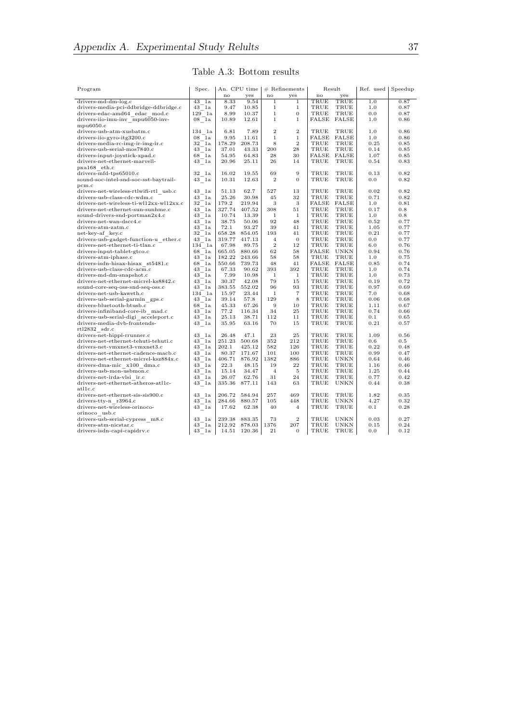#### Table A.3: Bottom results

<span id="page-42-0"></span>

| Program                                       | Spec.             | An. CPU time |              | $#$ Refinements |                  | Result             |             | Ref. used | Speedup   |
|-----------------------------------------------|-------------------|--------------|--------------|-----------------|------------------|--------------------|-------------|-----------|-----------|
|                                               |                   | no           | yes          | no              | yes              | no                 | yes         |           |           |
| drivers-md-dm-log.c                           | $43$ la           | 8.33         | 9.54         | 1               | 1                | TRUE               | TRUE        | 1.0       | 0.87      |
| drivers-media-pci-ddbridge-ddbridge.c         | 43 1a             | 9.47         | 10.85        | $\mathbf{1}$    | 1                | TRUE               | TRUE        | 1.0       | 0.87      |
| drivers-edac-amd64 edac mod.c                 | 129 la            | 8.99         | 10.37        | $\mathbf{1}$    | $\overline{0}$   | TRUE               | TRUE        | 0.0       | 0.87      |
| drivers-iio-imu-inv mpu6050-inv-              | 08 la             | 10.89        | 12.61        | $\mathbf{1}$    | $\mathbf{1}$     | <b>FALSE FALSE</b> |             | 1.0       | 0.86      |
| mpu6050.c                                     |                   |              |              |                 |                  |                    |             |           |           |
| drivers-usb-atm-xusbatm.c                     | 134 la            | 6.81         | 7.89         | $\,2$           | $\overline{2}$   | TRUE               | TRUE        | 1.0       | 0.86      |
| drivers-iio-gyro-itg3200.c                    | 08 la             | 9.95         | 11.61        | $\mathbf{1}$    | $\mathbf{1}$     | <b>FALSE FALSE</b> |             | 1.0       | 0.86      |
| drivers-media-rc-img-ir-img-ir.c              | 32 la             | 178.29       | 208.73       | 8               | $\overline{2}$   | TRUE               | TRUE        | 0.25      | 0.85      |
| drivers-usb-serial-mos7840.c                  | 43 la             | 37.01        | 43.33        | 200             | 28               | TRUE               | TRUE        | 0.14      | 0.85      |
| drivers-input-joystick-xpad.c                 | 68<br>1a          | 54.95        | 64.83        | 28              | 30               | FALSE              | FALSE       | 1.07      | 0.85      |
| drivers-net-ethernet-marvell-                 | 43 la             | 20.96        | 25.11        | 26              | 14               | TRUE               | TRUE        | 0.54      | 0.83      |
| $pxa168$ eth.c                                |                   |              |              |                 |                  |                    |             |           |           |
| drivers-mfd-tps65010.c                        | 32 la             | 16.02        | 19.55        | 69              | 9                | TRUE               | TRUE        | 0.13      | 0.82      |
| sound-soc-intel-snd-soc-sst-baytrail-         | 43 la             | 10.31        | 12.63        | $\overline{2}$  | $\theta$         | TRUE               | TRUE        | 0.0       | 0.82      |
| pcm.c                                         |                   |              |              |                 |                  |                    |             |           |           |
| drivers-net-wireless-rtlwifi-rtl usb.c        | 43 la             | 51.13        | 62.7         | 527             | 13               | TRUE               | TRUE        | 0.02      | 0.82      |
| drivers-usb-class-cdc-wdm.c                   | 43 la             | 25.26        | 30.98        | 45              | 32               | TRUE               | TRUE        | 0.71      | 0.82      |
| drivers-net-wireless-ti-wl12xx-wl12xx.c       | 32<br>1a          | 179.2        | 219.94       | 3               | 3                | FALSE              | FALSE       | 1.0       | 0.81      |
| drivers-net-ethernet-sun-sunhme.c             | 43 la             | 327.74       | 407.52       | 308             | 51               | TRUE               | TRUE        | 0.17      | 0.8       |
| sound-drivers-snd-portman2x4.c                | 43 1a             | 10.74        | 13.39        | 1               | $\mathbf{1}$     | TRUE               | TRUE        | 1.0       | 0.8       |
| drivers-net-wan-dscc4.c                       | 43 la             | 38.75        | 50.06        | 92              | 48               | TRUE               | TRUE        | 0.52      | 0.77      |
| $divers-atm-zatm.c$                           | 43 1a             | 72.1         | 93.27        | 39              | 41               | TRUE               | TRUE        | 1.05      | 0.77      |
| net-key-af key.c                              | 32<br>1a          | 658.28       | 854.05       | 193             | 41               | TRUE               | TRUE        | 0.21      | 0.77      |
| drivers-usb-gadget-function-u ether.c         | 43 la             | 319.77       | 417.13       | $\overline{4}$  | $\theta$         | TRUE               | TRUE        | 0.0       | 0.77      |
| drivers-net-ethernet-ti-tlan.c                | 134 la            | 67.98        | 89.75        | $\,2$           | 12               | TRUE               | TRUE        | 6.0       | 0.76      |
| drivers-input-tablet-gtco.c                   | 68<br>1a          | 665.05       | 880.66       | 62              | 58               | FALSE              | <b>UNKN</b> | 0.94      | 0.76      |
| drivers-atm-iphase.c                          | 43 1a             | 182.22       | 243.66       | 58              | 58               | TRUE               | TRUE        | 1.0       | 0.75      |
| drivers-isdn-hisax-hisax st5481.c             | 68<br>1a          | 550.66       | 739.73       | 48              | 41               | <b>FALSE FALSE</b> |             | 0.85      | 0.74      |
| drivers-usb-class-cdc-acm.c                   | 43<br>1a          | 67.33        | 90.62        | 393             | 392              | TRUE               | TRUE        | 1.0       | 0.74      |
| drivers-md-dm-snapshot.c                      | 43<br>1a          | 7.99         | 10.98        | $\mathbf{1}$    | $\mathbf{1}$     | TRUE               | TRUE        | 1.0       | 0.73      |
| drivers-net-ethernet-micrel-ks8842.c          | 43 la             | 30.37        | 42.08        | 79              | 15               | TRUE               | TRUE        | 0.19      | 0.72      |
| sound-core-seq-oss-snd-seq-oss.c              | 43 la             | 383.55       | 552.02       | 96              | 93               | TRUE               | TRUE        | 0.97      | 0.69      |
| drivers-net-usb-kaweth.c                      | 134 la            | 15.97        | 23.44        | 1               | $\overline{7}$   | TRUE               | TRUE        | 7.0       | 0.68      |
| drivers-usb-serial-garmin gps.c               | 43 la             | 39.14        | 57.8         | 129             | 8                | TRUE               | TRUE        | 0.06      | 0.68      |
| drivers-bluetooth-btusb.c                     | 68<br>$_{\rm 1a}$ | 45.33        | 67.26        | 9               | 10               | TRUE               | TRUE        | 1.11      | $_{0.67}$ |
| drivers-infiniband-core-ib mad.c              | 43<br>1a          | 77.2         | 116.34       | 34              | 25               | TRUE               | TRUE        | 0.74      | 0.66      |
| drivers-usb-serial-digi acceleport.c          | 43<br>1a          | 25.13        | 38.71        | 112             | 11               | TRUE               | TRUE        | 0.1       | 0.65      |
| drivers-media-dvb-frontends-<br>rtl2832 sdr.c | 43 la             | 35.95        | 63.16        | 70              | 15               | TRUE               | TRUE        | 0.21      | 0.57      |
| drivers-net-hippi-rrunner.c                   | 43 la             | 26.48        | 47.1         | 23              | 25               | TRUE               | TRUE        | 1.09      | 0.56      |
| drivers-net-ethernet-tehuti-tehuti.c          | 43 1a             | 251.23       | 500.68       | 352             | 212              | TRUE               | TRUE        | 0.6       | 0.5       |
| drivers-net-vmxnet3-vmxnet3.c                 | 43 1a             | 202.1        | 425.12       | 582             | 126              | TRUE               | TRUE        | 0.22      | 0.48      |
| drivers-net-ethernet-cadence-macb.c           | 43<br>1a          | 80.37        | 171.67       | 101             | 100              | TRUE               | TRUE        | 0.99      | 0.47      |
| drivers-net-ethernet-micrel-ksz884x.c         | 43<br>1a          | 406.71       | 876.92       | 1382            | 886              | TRUE               | UNKN        | 0.64      | 0.46      |
| drivers-dma-mic x100 dma.c                    | 43 1a             | 22.3         | 48.15        | 19              | 22               | TRUE               | TRUE        | 1.16      | 0.46      |
| drivers-usb-mon-usbmon.c                      | 43 la             | 15.14        | 34.47        | $\overline{4}$  | 5                | TRUE               | TRUE        | 1.25      | 0.44      |
| drivers-net-irda-vlsi ir.c                    | 43 1a             | 26.07        | 62.76        | 31              | 24               | TRUE               | TRUE        | 0.77      | 0.42      |
| drivers-net-ethernet-atheros-atl1c-           | 43 la             | 335.36       | 877.11       | 143             | 63               | TRUE               | <b>UNKN</b> | 0.44      | 0.38      |
| $_{\rm at11c.c}$                              |                   |              |              |                 |                  |                    |             |           |           |
| drivers-net-ethernet-sis-sis900.c             | 43<br>1a          | 206.72       | 584.94       | 257             | 469              | TRUE               | TRUE        | 1.82      | 0.35      |
| drivers-tty-n r3964.c                         | 43 la             | 284.66       | 880.57       | 105             | 448              | TRUE               | <b>UNKN</b> | 4.27      | 0.32      |
| drivers-net-wireless-orinoco-                 | 43 la             | 17.62        | 62.38        | 40              | $\overline{4}$   | TRUE               | TRUE        | 0.1       | 0.28      |
| orinoco usb.c                                 |                   |              |              |                 |                  |                    |             |           |           |
| drivers-usb-serial-cypress m8.c               | 43 la             | 239.38       | 883.35       | 73              | $\boldsymbol{2}$ | TRUE               | UNKN        | 0.03      | 0.27      |
| drivers-atm-nicstar.c                         | 43 1a             | 212.92       | 878.03       | 1376            | 207              | TRUE               | <b>UNKN</b> | 0.15      | 0.24      |
| drivers-isdn-capi-capidrv.c                   | 43 la             |              | 14.51 120.36 | 21              | $\mathbf{0}$     | TRUE               | TRUE        | 0.0       | 0.12      |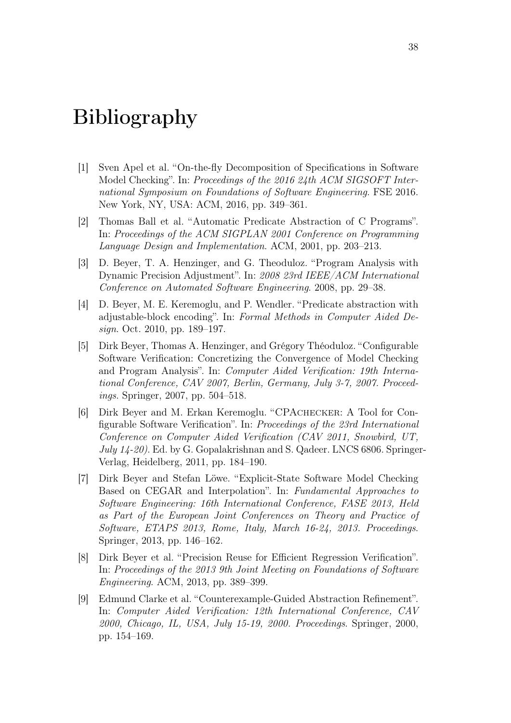# <span id="page-43-0"></span>Bibliography

- <span id="page-43-7"></span>[1] Sven Apel et al. "On-the-fly Decomposition of Specifications in Software Model Checking". In: Proceedings of the 2016 24th ACM SIGSOFT International Symposium on Foundations of Software Engineering. FSE 2016. New York, NY, USA: ACM, 2016, pp. 349–361.
- <span id="page-43-3"></span>[2] Thomas Ball et al. "Automatic Predicate Abstraction of C Programs". In: Proceedings of the ACM SIGPLAN 2001 Conference on Programming Language Design and Implementation. ACM, 2001, pp. 203–213.
- <span id="page-43-6"></span>[3] D. Beyer, T. A. Henzinger, and G. Theoduloz. "Program Analysis with Dynamic Precision Adjustment". In: 2008 23rd IEEE/ACM International Conference on Automated Software Engineering. 2008, pp. 29–38.
- <span id="page-43-4"></span>[4] D. Beyer, M. E. Keremoglu, and P. Wendler. "Predicate abstraction with adjustable-block encoding". In: Formal Methods in Computer Aided Design. Oct. 2010, pp. 189–197.
- <span id="page-43-5"></span>[5] Dirk Beyer, Thomas A. Henzinger, and Grégory Théoduloz. "Configurable Software Verification: Concretizing the Convergence of Model Checking and Program Analysis". In: Computer Aided Verification: 19th International Conference, CAV 2007, Berlin, Germany, July 3-7, 2007. Proceedings. Springer, 2007, pp. 504–518.
- <span id="page-43-8"></span>[6] Dirk Beyer and M. Erkan Keremoglu. "CPAchecker: A Tool for Configurable Software Verification". In: Proceedings of the 23rd International Conference on Computer Aided Verification (CAV 2011, Snowbird, UT, July 14-20). Ed. by G. Gopalakrishnan and S. Qadeer. LNCS 6806. Springer-Verlag, Heidelberg, 2011, pp. 184–190.
- <span id="page-43-9"></span>[7] Dirk Beyer and Stefan Löwe. "Explicit-State Software Model Checking Based on CEGAR and Interpolation". In: Fundamental Approaches to Software Engineering: 16th International Conference, FASE 2013, Held as Part of the European Joint Conferences on Theory and Practice of Software, ETAPS 2013, Rome, Italy, March 16-24, 2013. Proceedings. Springer, 2013, pp. 146–162.
- <span id="page-43-2"></span>[8] Dirk Beyer et al. "Precision Reuse for Efficient Regression Verification". In: Proceedings of the 2013 9th Joint Meeting on Foundations of Software Engineering. ACM, 2013, pp. 389–399.
- <span id="page-43-1"></span>[9] Edmund Clarke et al. "Counterexample-Guided Abstraction Refinement". In: Computer Aided Verification: 12th International Conference, CAV 2000, Chicago, IL, USA, July 15-19, 2000. Proceedings. Springer, 2000, pp. 154–169.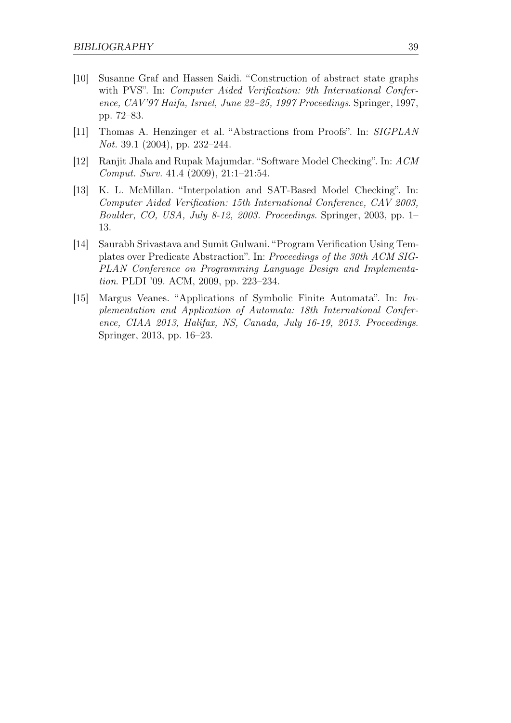- <span id="page-44-0"></span>[10] Susanne Graf and Hassen Saidi. "Construction of abstract state graphs with PVS". In: *Computer Aided Verification: 9th International Confer*ence, CAV'97 Haifa, Israel, June 22–25, 1997 Proceedings. Springer, 1997, pp. 72–83.
- <span id="page-44-1"></span>[11] Thomas A. Henzinger et al. "Abstractions from Proofs". In: SIGPLAN Not. 39.1 (2004), pp. 232–244.
- <span id="page-44-2"></span>[12] Ranjit Jhala and Rupak Majumdar. "Software Model Checking". In: ACM Comput. Surv. 41.4 (2009), 21:1–21:54.
- <span id="page-44-3"></span>[13] K. L. McMillan. "Interpolation and SAT-Based Model Checking". In: Computer Aided Verification: 15th International Conference, CAV 2003, Boulder, CO, USA, July 8-12, 2003. Proceedings. Springer, 2003, pp. 1– 13.
- <span id="page-44-5"></span>[14] Saurabh Srivastava and Sumit Gulwani. "Program Verification Using Templates over Predicate Abstraction". In: Proceedings of the 30th ACM SIG-PLAN Conference on Programming Language Design and Implementation. PLDI '09. ACM, 2009, pp. 223–234.
- <span id="page-44-4"></span>[15] Margus Veanes. "Applications of Symbolic Finite Automata". In: Implementation and Application of Automata: 18th International Conference, CIAA 2013, Halifax, NS, Canada, July 16-19, 2013. Proceedings. Springer, 2013, pp. 16–23.